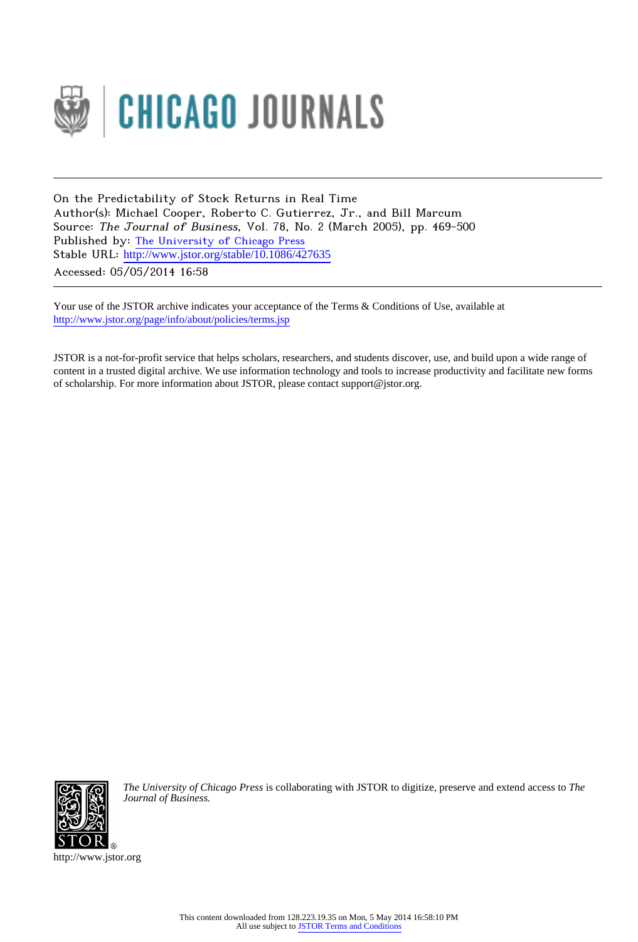

On the Predictability of Stock Returns in Real Time Author(s): Michael Cooper, Roberto C. Gutierrez, Jr., and Bill Marcum Source: The Journal of Business, Vol. 78, No. 2 (March 2005), pp. 469-500 Published by: [The University of Chicago Press](http://www.jstor.org/action/showPublisher?publisherCode=ucpress) Stable URL: http://www.jstor.org/stable/10.1086/427635 Accessed: 05/05/2014 16:58

Your use of the JSTOR archive indicates your acceptance of the Terms & Conditions of Use, available at <http://www.jstor.org/page/info/about/policies/terms.jsp>

JSTOR is a not-for-profit service that helps scholars, researchers, and students discover, use, and build upon a wide range of content in a trusted digital archive. We use information technology and tools to increase productivity and facilitate new forms of scholarship. For more information about JSTOR, please contact support@jstor.org.



*The University of Chicago Press* is collaborating with JSTOR to digitize, preserve and extend access to *The Journal of Business.*

http://www.jstor.org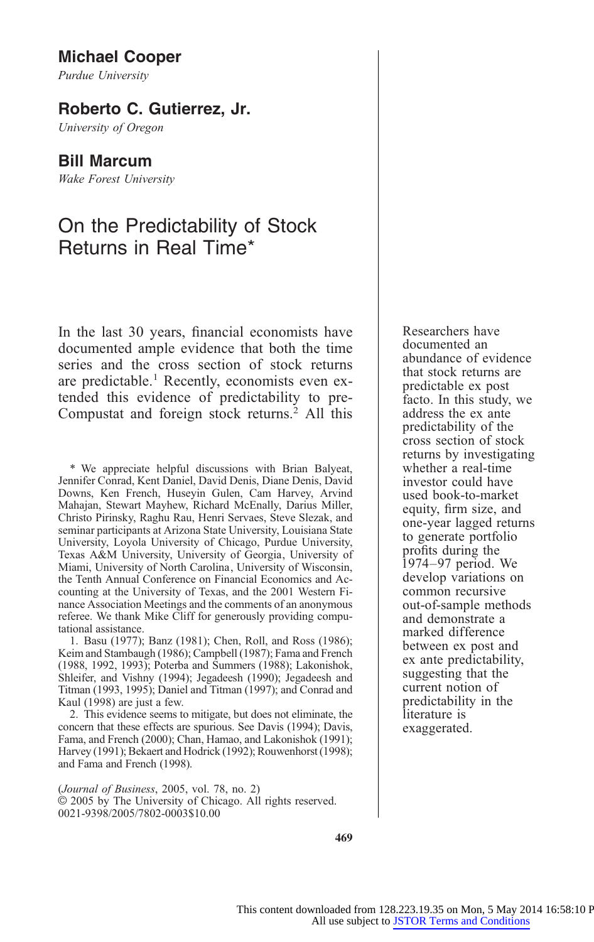# Michael Cooper

Purdue University

# Roberto C. Gutierrez, Jr. University of Oregon

# Bill Marcum

Wake Forest University

# On the Predictability of Stock Returns in Real Time\*

In the last 30 years, financial economists have documented ample evidence that both the time series and the cross section of stock returns are predictable.<sup>1</sup> Recently, economists even extended this evidence of predictability to pre-Compustat and foreign stock returns.<sup>2</sup> All this

\* We appreciate helpful discussions with Brian Balyeat, Jennifer Conrad, Kent Daniel, David Denis, Diane Denis, David Downs, Ken French, Huseyin Gulen, Cam Harvey, Arvind Mahajan, Stewart Mayhew, Richard McEnally, Darius Miller, Christo Pirinsky, Raghu Rau, Henri Servaes, Steve Slezak, and seminar participants at Arizona State University, Louisiana State University, Loyola University of Chicago, Purdue University, Texas A&M University, University of Georgia, University of Miami, University of North Carolina, University of Wisconsin, the Tenth Annual Conference on Financial Economics and Accounting at the University of Texas, and the 2001 Western Finance Association Meetings and the comments of an anonymous referee. We thank Mike Cliff for generously providing computational assistance.

1. Basu (1977); Banz (1981); Chen, Roll, and Ross (1986); Keim and Stambaugh (1986); Campbell (1987); Fama and French (1988, 1992, 1993); Poterba and Summers (1988); Lakonishok, Shleifer, and Vishny (1994); Jegadeesh (1990); Jegadeesh and Titman (1993, 1995); Daniel and Titman (1997); and Conrad and Kaul (1998) are just a few.

2. This evidence seems to mitigate, but does not eliminate, the concern that these effects are spurious. See Davis (1994); Davis, Fama, and French (2000); Chan, Hamao, and Lakonishok (1991); Harvey (1991); Bekaert and Hodrick (1992); Rouwenhorst (1998); and Fama and French (1998).

(Journal of Business, 2005, vol. 78, no. 2)  $\odot$  2005 by The University of Chicago. All rights reserved. 0021-9398/2005/7802-0003\$10.00

Researchers have documented an abundance of evidence that stock returns are predictable ex post facto. In this study, we address the ex ante predictability of the cross section of stock returns by investigating whether a real-time investor could have used book-to-market equity, firm size, and one-year lagged returns to generate portfolio profits during the 1974–97 period. We develop variations on common recursive out-of-sample methods and demonstrate a marked difference between ex post and ex ante predictability, suggesting that the current notion of predictability in the [literature is](http://www.jstor.org/page/info/about/policies/terms.jsp) exaggerated.

469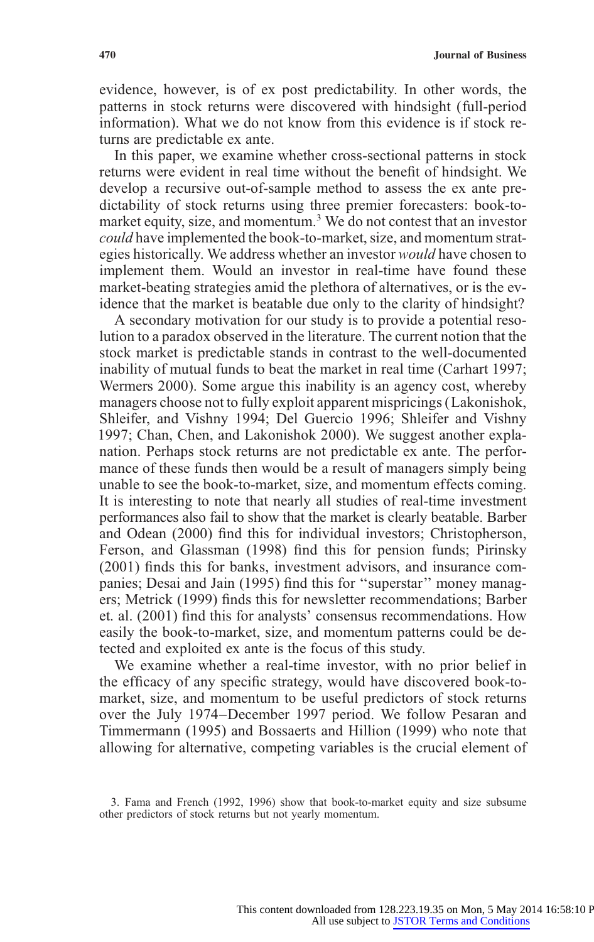evidence, however, is of ex post predictability. In other words, the patterns in stock returns were discovered with hindsight (full-period information). What we do not know from this evidence is if stock returns are predictable ex ante.

In this paper, we examine whether cross-sectional patterns in stock returns were evident in real time without the benefit of hindsight. We develop a recursive out-of-sample method to assess the ex ante predictability of stock returns using three premier forecasters: book-tomarket equity, size, and momentum.<sup>3</sup> We do not contest that an investor could have implemented the book-to-market, size, and momentum strategies historically. We address whether an investor would have chosen to implement them. Would an investor in real-time have found these market-beating strategies amid the plethora of alternatives, or is the evidence that the market is beatable due only to the clarity of hindsight?

A secondary motivation for our study is to provide a potential resolution to a paradox observed in the literature. The current notion that the stock market is predictable stands in contrast to the well-documented inability of mutual funds to beat the market in real time (Carhart 1997; Wermers 2000). Some argue this inability is an agency cost, whereby managers choose not to fully exploit apparent mispricings (Lakonishok, Shleifer, and Vishny 1994; Del Guercio 1996; Shleifer and Vishny 1997; Chan, Chen, and Lakonishok 2000). We suggest another explanation. Perhaps stock returns are not predictable ex ante. The performance of these funds then would be a result of managers simply being unable to see the book-to-market, size, and momentum effects coming. It is interesting to note that nearly all studies of real-time investment performances also fail to show that the market is clearly beatable. Barber and Odean (2000) find this for individual investors; Christopherson, Ferson, and Glassman (1998) find this for pension funds; Pirinsky (2001) finds this for banks, investment advisors, and insurance companies; Desai and Jain (1995) find this for ''superstar'' money managers; Metrick (1999) finds this for newsletter recommendations; Barber et. al. (2001) find this for analysts' consensus recommendations. How easily the book-to-market, size, and momentum patterns could be detected and exploited ex ante is the focus of this study.

We examine whether a real-time investor, with no prior belief in the efficacy of any specific strategy, would have discovered book-tomarket, size, and momentum to be useful predictors of stock returns over the July 1974–December 1997 period. [We follow Pesaran and](http://www.jstor.org/page/info/about/policies/terms.jsp) Timmermann (1995) and Bossaerts and Hillion (1999) who note that allowing for alternative, competing variables is the crucial element of

<sup>3.</sup> Fama and French (1992, 1996) show that book-to-market equity and size subsume other predictors of stock returns but not yearly momentum.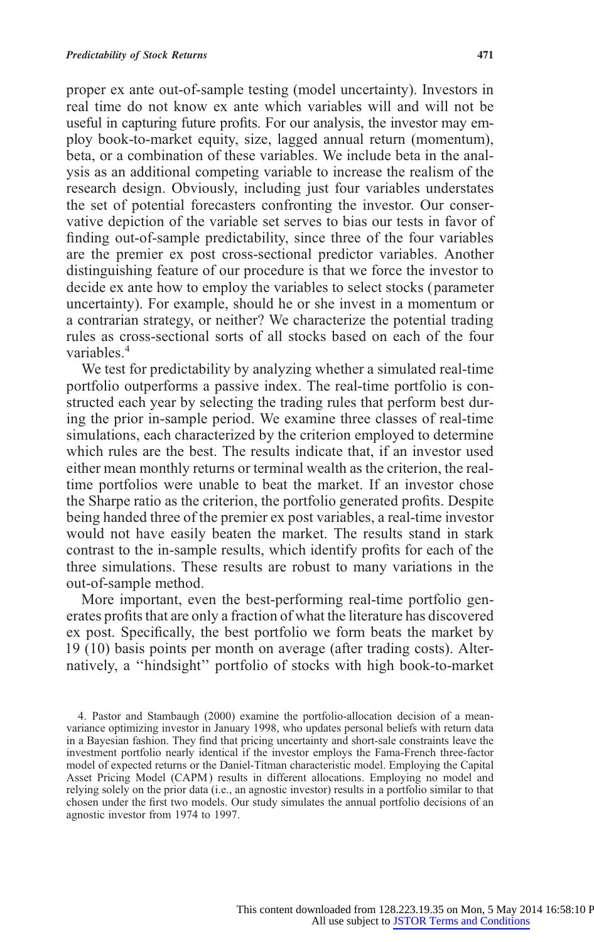proper ex ante out-of-sample testing (model uncertainty). Investors in real time do not know ex ante which variables will and will not be useful in capturing future profits. For our analysis, the investor may employ book-to-market equity, size, lagged annual return (momentum), beta, or a combination of these variables. We include beta in the analysis as an additional competing variable to increase the realism of the research design. Obviously, including just four variables understates the set of potential forecasters confronting the investor. Our conservative depiction of the variable set serves to bias our tests in favor of finding out-of-sample predictability, since three of the four variables are the premier ex post cross-sectional predictor variables. Another distinguishing feature of our procedure is that we force the investor to decide ex ante how to employ the variables to select stocks (parameter uncertainty). For example, should he or she invest in a momentum or a contrarian strategy, or neither? We characterize the potential trading rules as cross-sectional sorts of all stocks based on each of the four variables.<sup>4</sup>

We test for predictability by analyzing whether a simulated real-time portfolio outperforms a passive index. The real-time portfolio is constructed each year by selecting the trading rules that perform best during the prior in-sample period. We examine three classes of real-time simulations, each characterized by the criterion employed to determine which rules are the best. The results indicate that, if an investor used either mean monthly returns or terminal wealth as the criterion, the realtime portfolios were unable to beat the market. If an investor chose the Sharpe ratio as the criterion, the portfolio generated profits. Despite being handed three of the premier ex post variables, a real-time investor would not have easily beaten the market. The results stand in stark contrast to the in-sample results, which identify profits for each of the three simulations. These results are robust to many variations in the out-of-sample method.

More important, even the best-performing real-time portfolio generates profits that are only a fraction of what the literature has discovered ex post. Specifically, the best portfolio we form beats the market by 19 (10) basis points per month on average (after trading costs). Alternatively, a ''hindsight'' portfolio of stocks with high book-to-market

<sup>4.</sup> Pastor and Stambaugh (2000) examine the portfolio-allocation [decision of a mean](http://www.jstor.org/page/info/about/policies/terms.jsp)variance optimizing investor in January 1998, who updates personal beliefs with return data in a Bayesian fashion. They find that pricing uncertainty and short-sale constraints leave the investment portfolio nearly identical if the investor employs the Fama-French three-factor model of expected returns or the Daniel-Titman characteristic model. Employing the Capital Asset Pricing Model (CAPM) results in different allocations. Employing no model and relying solely on the prior data (i.e., an agnostic investor) results in a portfolio similar to that chosen under the first two models. Our study simulates the annual portfolio decisions of an agnostic investor from 1974 to 1997.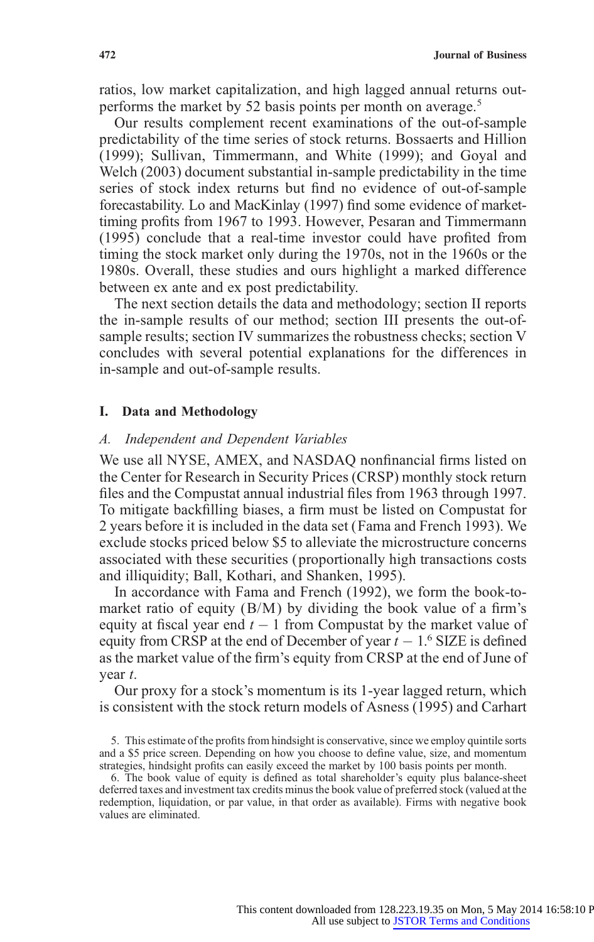ratios, low market capitalization, and high lagged annual returns outperforms the market by 52 basis points per month on average.<sup>5</sup>

Our results complement recent examinations of the out-of-sample predictability of the time series of stock returns. Bossaerts and Hillion (1999); Sullivan, Timmermann, and White (1999); and Goyal and Welch (2003) document substantial in-sample predictability in the time series of stock index returns but find no evidence of out-of-sample forecastability. Lo and MacKinlay (1997) find some evidence of markettiming profits from 1967 to 1993. However, Pesaran and Timmermann (1995) conclude that a real-time investor could have profited from timing the stock market only during the 1970s, not in the 1960s or the 1980s. Overall, these studies and ours highlight a marked difference between ex ante and ex post predictability.

The next section details the data and methodology; section II reports the in-sample results of our method; section III presents the out-ofsample results; section IV summarizes the robustness checks; section V concludes with several potential explanations for the differences in in-sample and out-of-sample results.

# I. Data and Methodology

### A. Independent and Dependent Variables

We use all NYSE, AMEX, and NASDAQ nonfinancial firms listed on the Center for Research in Security Prices (CRSP) monthly stock return files and the Compustat annual industrial files from 1963 through 1997. To mitigate backfilling biases, a firm must be listed on Compustat for 2 years before it is included in the data set (Fama and French 1993). We exclude stocks priced below \$5 to alleviate the microstructure concerns associated with these securities (proportionally high transactions costs and illiquidity; Ball, Kothari, and Shanken, 1995).

In accordance with Fama and French (1992), we form the book-tomarket ratio of equity  $(B/M)$  by dividing the book value of a firm's equity at fiscal year end  $t - 1$  from Compustat by the market value of equity from CRSP at the end of December of year  $t - 1.6$  SIZE is defined as the market value of the firm's equity from CRSP at the end of June of year t.

Our proxy for a stock's momentum is its 1-year lagged return, which is consistent with the stock return models of Asn[ess](http://www.jstor.org/page/info/about/policies/terms.jsp) [\(1995\)](http://www.jstor.org/page/info/about/policies/terms.jsp) [and](http://www.jstor.org/page/info/about/policies/terms.jsp) [Carhart](http://www.jstor.org/page/info/about/policies/terms.jsp)

<sup>5.</sup> This estimate of the profits from hindsight is conservative, since we employ quintile sorts and a \$5 price screen. Depending on how you choose to define value, size, and momentum strategies, hindsight profits can easily exceed the market by 100 basis points per month.

<sup>6.</sup> The book value of equity is defined as total shareholder's equity plus balance-sheet deferred taxes and investment tax credits minus the book value of preferred stock (valued at the redemption, liquidation, or par value, in that order as available). Firms with negative book values are eliminated.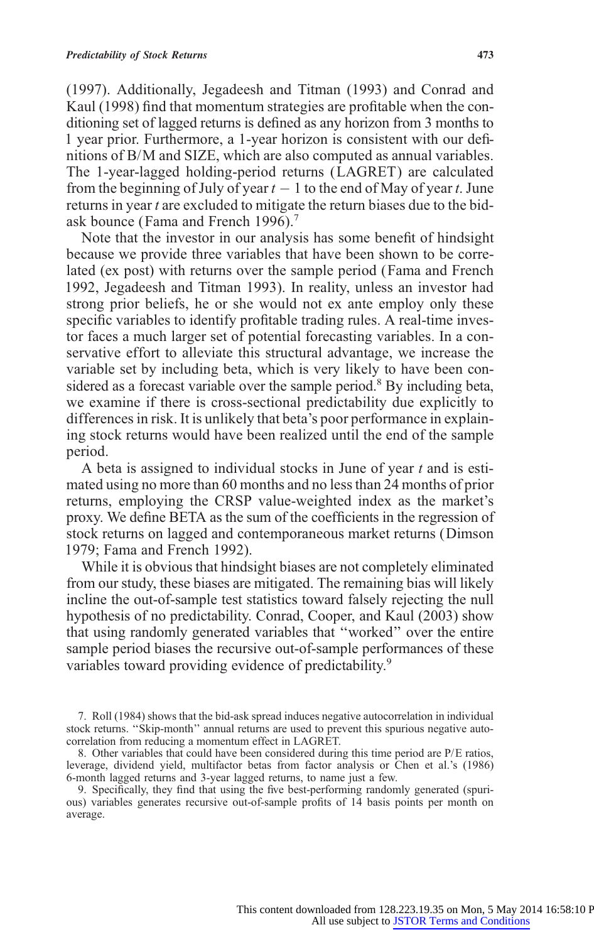(1997). Additionally, Jegadeesh and Titman (1993) and Conrad and Kaul (1998) find that momentum strategies are profitable when the conditioning set of lagged returns is defined as any horizon from 3 months to 1 year prior. Furthermore, a 1-year horizon is consistent with our definitions of B/M and SIZE, which are also computed as annual variables. The 1-year-lagged holding-period returns (LAGRET) are calculated from the beginning of July of year  $t - 1$  to the end of May of year t. June returns in year t are excluded to mitigate the return biases due to the bidask bounce (Fama and French 1996).<sup>7</sup>

Note that the investor in our analysis has some benefit of hindsight because we provide three variables that have been shown to be correlated (ex post) with returns over the sample period (Fama and French 1992, Jegadeesh and Titman 1993). In reality, unless an investor had strong prior beliefs, he or she would not ex ante employ only these specific variables to identify profitable trading rules. A real-time investor faces a much larger set of potential forecasting variables. In a conservative effort to alleviate this structural advantage, we increase the variable set by including beta, which is very likely to have been considered as a forecast variable over the sample period.<sup>8</sup> By including beta, we examine if there is cross-sectional predictability due explicitly to differences in risk. It is unlikely that beta's poor performance in explaining stock returns would have been realized until the end of the sample period.

A beta is assigned to individual stocks in June of year  $t$  and is estimated using no more than 60 months and no less than 24 months of prior returns, employing the CRSP value-weighted index as the market's proxy. We define BETA as the sum of the coefficients in the regression of stock returns on lagged and contemporaneous market returns (Dimson 1979; Fama and French 1992).

While it is obvious that hindsight biases are not completely eliminated from our study, these biases are mitigated. The remaining bias will likely incline the out-of-sample test statistics toward falsely rejecting the null hypothesis of no predictability. Conrad, Cooper, and Kaul (2003) show that using randomly generated variables that ''worked'' over the entire sample period biases the recursive out-of-sample performances of these variables toward providing evidence of predictability.<sup>9</sup>

<sup>7.</sup> Roll (1984) shows that the bid-ask spread induces negative autoc[orrelation in individual](http://www.jstor.org/page/info/about/policies/terms.jsp) stock returns. ''Skip-month'' annual returns are used to prevent this spurious negative autocorrelation from reducing a momentum effect in LAGRET.

<sup>8.</sup> Other variables that could have been considered during this time period are P/E ratios, leverage, dividend yield, multifactor betas from factor analysis or Chen et al.'s (1986) 6-month lagged returns and 3-year lagged returns, to name just a few.

<sup>9.</sup> Specifically, they find that using the five best-performing randomly generated (spurious) variables generates recursive out-of-sample profits of 14 basis points per month on average.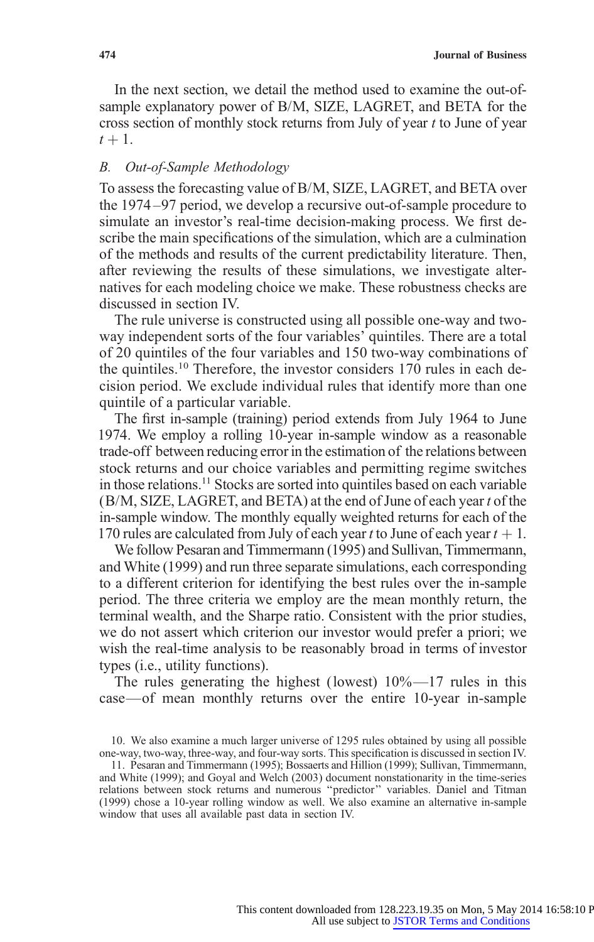In the next section, we detail the method used to examine the out-ofsample explanatory power of B/M, SIZE, LAGRET, and BETA for the cross section of monthly stock returns from July of year t to June of year  $t+1$ .

# B. Out-of-Sample Methodology

To assess the forecasting value of B/M, SIZE, LAGRET, and BETA over the 1974 –97 period, we develop a recursive out-of-sample procedure to simulate an investor's real-time decision-making process. We first describe the main specifications of the simulation, which are a culmination of the methods and results of the current predictability literature. Then, after reviewing the results of these simulations, we investigate alternatives for each modeling choice we make. These robustness checks are discussed in section IV.

The rule universe is constructed using all possible one-way and twoway independent sorts of the four variables' quintiles. There are a total of 20 quintiles of the four variables and 150 two-way combinations of the quintiles.<sup>10</sup> Therefore, the investor considers 170 rules in each decision period. We exclude individual rules that identify more than one quintile of a particular variable.

The first in-sample (training) period extends from July 1964 to June 1974. We employ a rolling 10-year in-sample window as a reasonable trade-off between reducing error in the estimation of the relations between stock returns and our choice variables and permitting regime switches in those relations.<sup>11</sup> Stocks are sorted into quintiles based on each variable (B/M, SIZE, LAGRET, and BETA) at the end of June of each year t of the in-sample window. The monthly equally weighted returns for each of the 170 rules are calculated from July of each year t to June of each year  $t + 1$ .

We follow Pesaran and Timmermann (1995) and Sullivan, Timmermann, and White (1999) and run three separate simulations, each corresponding to a different criterion for identifying the best rules over the in-sample period. The three criteria we employ are the mean monthly return, the terminal wealth, and the Sharpe ratio. Consistent with the prior studies, we do not assert which criterion our investor would prefer a priori; we wish the real-time analysis to be reasonably broad in terms of investor types (i.e., utility functions).

The rules generating the highest (lowest)  $10\% - 17$  rules in this case—of mean monthly returns over the entire 10-year in-sample

<sup>10.</sup> We also examine a much larger universe of 1295 rules obtained by using all possible one-way, two-way, three-way, and four-way sorts. This specification is discussed in section IV.

<sup>11.</sup> Pesaran and Timmermann (1995); Bossaerts and Hillion (1999); Sullivan, Timmermann, and White (1999); and Goyal and Welch (2003) document nonstationarity in the time-series relations between stock returns and numerous ''predictor'' variables. Daniel and Titman (1999) chose a 10-year rolling window as well. We also examine an alternative in-sample window that uses all available past data in section IV.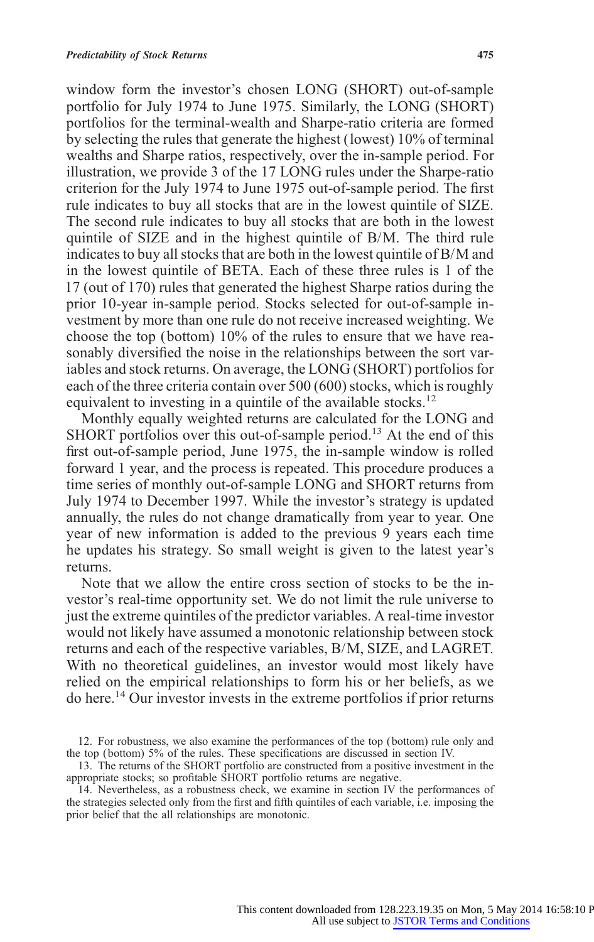window form the investor's chosen LONG (SHORT) out-of-sample portfolio for July 1974 to June 1975. Similarly, the LONG (SHORT) portfolios for the terminal-wealth and Sharpe-ratio criteria are formed by selecting the rules that generate the highest (lowest) 10% of terminal wealths and Sharpe ratios, respectively, over the in-sample period. For illustration, we provide 3 of the 17 LONG rules under the Sharpe-ratio criterion for the July 1974 to June 1975 out-of-sample period. The first rule indicates to buy all stocks that are in the lowest quintile of SIZE. The second rule indicates to buy all stocks that are both in the lowest quintile of SIZE and in the highest quintile of B/M. The third rule indicates to buy all stocks that are both in the lowest quintile of B/M and in the lowest quintile of BETA. Each of these three rules is 1 of the 17 (out of 170) rules that generated the highest Sharpe ratios during the prior 10-year in-sample period. Stocks selected for out-of-sample investment by more than one rule do not receive increased weighting. We choose the top (bottom) 10% of the rules to ensure that we have reasonably diversified the noise in the relationships between the sort variables and stock returns. On average, the LONG (SHORT) portfolios for each of the three criteria contain over 500 (600) stocks, which is roughly equivalent to investing in a quintile of the available stocks.<sup>12</sup>

Monthly equally weighted returns are calculated for the LONG and SHORT portfolios over this out-of-sample period.<sup>13</sup> At the end of this first out-of-sample period, June 1975, the in-sample window is rolled forward 1 year, and the process is repeated. This procedure produces a time series of monthly out-of-sample LONG and SHORT returns from July 1974 to December 1997. While the investor's strategy is updated annually, the rules do not change dramatically from year to year. One year of new information is added to the previous 9 years each time he updates his strategy. So small weight is given to the latest year's returns.

Note that we allow the entire cross section of stocks to be the investor's real-time opportunity set. We do not limit the rule universe to just the extreme quintiles of the predictor variables. A real-time investor would not likely have assumed a monotonic relationship between stock returns and each of the respective variables, B/M, SIZE, and LAGRET. With no theoretical guidelines, an investor would most likely have relied on the empirical relationships to form his or her beliefs, as we do here.<sup>14</sup> Our investor invests in the extreme portfolios if prior returns

<sup>12.</sup> For robustness, we also examine the performances of the top (bottom) rule only and the top (bottom) 5% of the rules. These specifications are discussed in section IV.

<sup>13.</sup> The returns of the SHORT portfolio are constructed from a positive investment in the appropriate stocks; so profitable SHORT portfolio returns are negative.

<sup>14.</sup> Nevertheless, as a robustness check, we examine in section IV the performances of the strategies selected only from the first and fifth quintiles of each variable, i.e. imposing the prior belief that the all relationships are monotonic.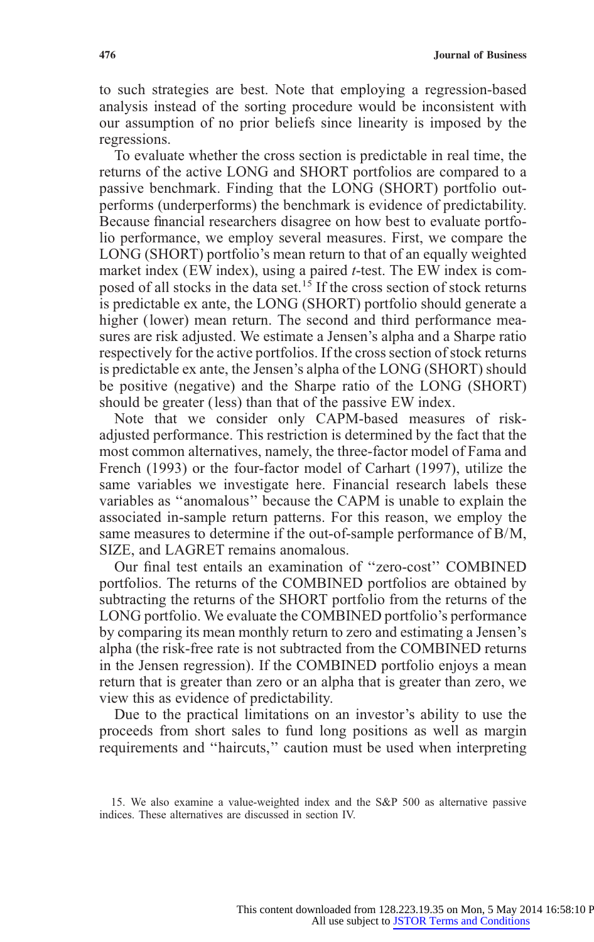to such strategies are best. Note that employing a regression-based analysis instead of the sorting procedure would be inconsistent with our assumption of no prior beliefs since linearity is imposed by the regressions.

To evaluate whether the cross section is predictable in real time, the returns of the active LONG and SHORT portfolios are compared to a passive benchmark. Finding that the LONG (SHORT) portfolio outperforms (underperforms) the benchmark is evidence of predictability. Because financial researchers disagree on how best to evaluate portfolio performance, we employ several measures. First, we compare the LONG (SHORT) portfolio's mean return to that of an equally weighted market index ( $E\hat{W}$  index), using a paired *t*-test. The  $E\hat{W}$  index is composed of all stocks in the data set.<sup>15</sup> If the cross section of stock returns is predictable ex ante, the LONG (SHORT) portfolio should generate a higher (lower) mean return. The second and third performance measures are risk adjusted. We estimate a Jensen's alpha and a Sharpe ratio respectively for the active portfolios. If the cross section of stock returns is predictable ex ante, the Jensen's alpha of the LONG (SHORT) should be positive (negative) and the Sharpe ratio of the LONG (SHORT) should be greater (less) than that of the passive EW index.

Note that we consider only CAPM-based measures of riskadjusted performance. This restriction is determined by the fact that the most common alternatives, namely, the three-factor model of Fama and French (1993) or the four-factor model of Carhart (1997), utilize the same variables we investigate here. Financial research labels these variables as ''anomalous'' because the CAPM is unable to explain the associated in-sample return patterns. For this reason, we employ the same measures to determine if the out-of-sample performance of B/M, SIZE, and LAGRET remains anomalous.

Our final test entails an examination of ''zero-cost'' COMBINED portfolios. The returns of the COMBINED portfolios are obtained by subtracting the returns of the SHORT portfolio from the returns of the LONG portfolio. We evaluate the COMBINED portfolio's performance by comparing its mean monthly return to zero and estimating a Jensen's alpha (the risk-free rate is not subtracted from the COMBINED returns in the Jensen regression). If the COMBINED portfolio enjoys a mean return that is greater than zero or an alpha that is greater than zero, we view this as evidence of predictability.

Due to the practical limitations on an invest[or's ability to use the](http://www.jstor.org/page/info/about/policies/terms.jsp) proceeds from short sales to fund long positions as well as margin requirements and ''haircuts,'' caution must be used when interpreting

<sup>15.</sup> We also examine a value-weighted index and the S&P 500 as alternative passive indices. These alternatives are discussed in section IV.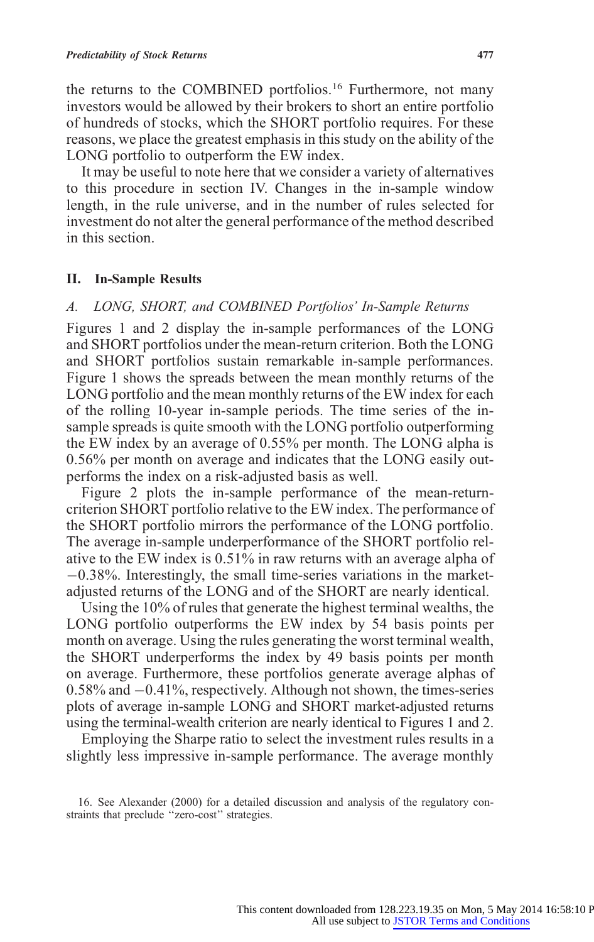the returns to the COMBINED portfolios.<sup>16</sup> Furthermore, not many investors would be allowed by their brokers to short an entire portfolio of hundreds of stocks, which the SHORT portfolio requires. For these reasons, we place the greatest emphasis in this study on the ability of the LONG portfolio to outperform the EW index.

It may be useful to note here that we consider a variety of alternatives to this procedure in section IV. Changes in the in-sample window length, in the rule universe, and in the number of rules selected for investment do not alter the general performance of the method described in this section.

### II. In-Sample Results

# A. LONG, SHORT, and COMBINED Portfolios' In-Sample Returns

Figures 1 and 2 display the in-sample performances of the LONG and SHORT portfolios under the mean-return criterion. Both the LONG and SHORT portfolios sustain remarkable in-sample performances. Figure 1 shows the spreads between the mean monthly returns of the LONG portfolio and the mean monthly returns of the EW index for each of the rolling 10-year in-sample periods. The time series of the insample spreads is quite smooth with the LONG portfolio outperforming the EW index by an average of 0.55% per month. The LONG alpha is 0.56% per month on average and indicates that the LONG easily outperforms the index on a risk-adjusted basis as well.

Figure 2 plots the in-sample performance of the mean-returncriterion SHORT portfolio relative to the EW index. The performance of the SHORT portfolio mirrors the performance of the LONG portfolio. The average in-sample underperformance of the SHORT portfolio relative to the EW index is 0.51% in raw returns with an average alpha of  $-0.38\%$ . Interestingly, the small time-series variations in the marketadjusted returns of the LONG and of the SHORT are nearly identical.

Using the 10% of rules that generate the highest terminal wealths, the LONG portfolio outperforms the EW index by 54 basis points per month on average. Using the rules generating the worst terminal wealth, the SHORT underperforms the index by 49 basis points per month on average. Furthermore, these portfolios generate average alphas of  $0.58\%$  and  $-0.41\%$ , respectively. Although not shown, the times-series plots of average in-sample LONG and SHORT market-adjusted returns using the terminal-wealth criterion are nearly identical t[o Figures 1 and 2.](http://www.jstor.org/page/info/about/policies/terms.jsp)

Employing the Sharpe ratio to select the investment rules results in a slightly less impressive in-sample performance. The average monthly

<sup>16.</sup> See Alexander (2000) for a detailed discussion and analysis of the regulatory constraints that preclude ''zero-cost'' strategies.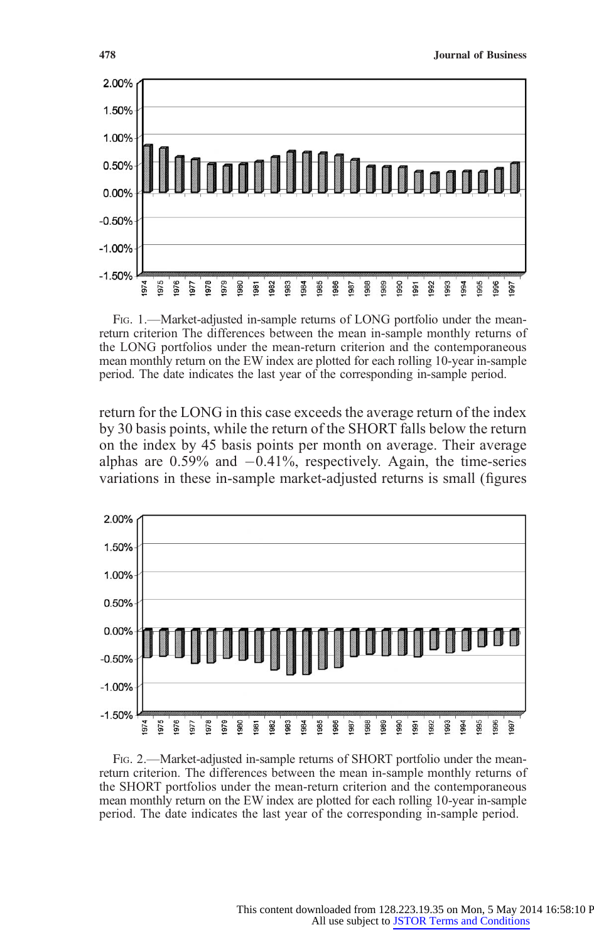

Fig. 1.—Market-adjusted in-sample returns of LONG portfolio under the meanreturn criterion The differences between the mean in-sample monthly returns of the LONG portfolios under the mean-return criterion and the contemporaneous mean monthly return on the EW index are plotted for each rolling 10-year in-sample period. The date indicates the last year of the corresponding in-sample period.

return for the LONG in this case exceeds the average return of the index by 30 basis points, while the return of the SHORT falls below the return on the index by 45 basis points per month on average. Their average alphas are  $0.59\%$  and  $-0.41\%$ , respectively. Again, the time-series variations in these in-sample market-adjusted returns is small (figures



Fig. 2.—Market-adjusted in-sample returns of SHORT portfolio under the meanreturn criterion. The differences between the mean in-sample monthly returns of the SHORT portfolios under the mean-return criterion and the contemporaneous mean monthly return on the EW index are plotted for each rolling 10-year in-sample period. The date indicates the last year of the corresponding in-sample period.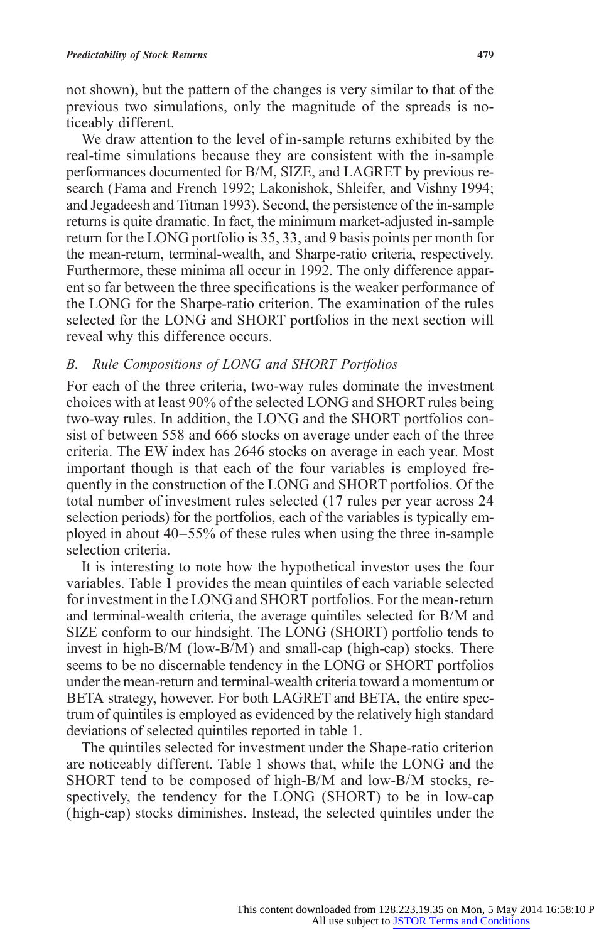not shown), but the pattern of the changes is very similar to that of the previous two simulations, only the magnitude of the spreads is noticeably different.

We draw attention to the level of in-sample returns exhibited by the real-time simulations because they are consistent with the in-sample performances documented for B/M, SIZE, and LAGRET by previous research (Fama and French 1992; Lakonishok, Shleifer, and Vishny 1994; and Jegadeesh and Titman 1993). Second, the persistence of the in-sample returns is quite dramatic. In fact, the minimum market-adjusted in-sample return for the LONG portfolio is 35, 33, and 9 basis points per month for the mean-return, terminal-wealth, and Sharpe-ratio criteria, respectively. Furthermore, these minima all occur in 1992. The only difference apparent so far between the three specifications is the weaker performance of the LONG for the Sharpe-ratio criterion. The examination of the rules selected for the LONG and SHORT portfolios in the next section will reveal why this difference occurs.

### B. Rule Compositions of LONG and SHORT Portfolios

For each of the three criteria, two-way rules dominate the investment choices with at least 90% of the selected LONG and SHORT rules being two-way rules. In addition, the LONG and the SHORT portfolios consist of between 558 and 666 stocks on average under each of the three criteria. The EW index has 2646 stocks on average in each year. Most important though is that each of the four variables is employed frequently in the construction of the LONG and SHORT portfolios. Of the total number of investment rules selected (17 rules per year across 24 selection periods) for the portfolios, each of the variables is typically employed in about 40–55% of these rules when using the three in-sample selection criteria.

It is interesting to note how the hypothetical investor uses the four variables. Table 1 provides the mean quintiles of each variable selected for investment in the LONG and SHORT portfolios. For the mean-return and terminal-wealth criteria, the average quintiles selected for B/M and SIZE conform to our hindsight. The LONG (SHORT) portfolio tends to invest in high-B/M (low-B/M) and small-cap (high-cap) stocks. There seems to be no discernable tendency in the LONG or SHORT portfolios under the mean-return and terminal-wealth criteria toward a momentum or BETA strategy, however. For both LAGRET and BETA, the entire spectrum of quintiles is employed as evidenced by the relati[vely high standard](http://www.jstor.org/page/info/about/policies/terms.jsp) deviations of selected quintiles reported in table 1.

The quintiles selected for investment under the Shape-ratio criterion are noticeably different. Table 1 shows that, while the LONG and the SHORT tend to be composed of high-B/M and low-B/M stocks, respectively, the tendency for the LONG (SHORT) to be in low-cap (high-cap) stocks diminishes. Instead, the selected quintiles under the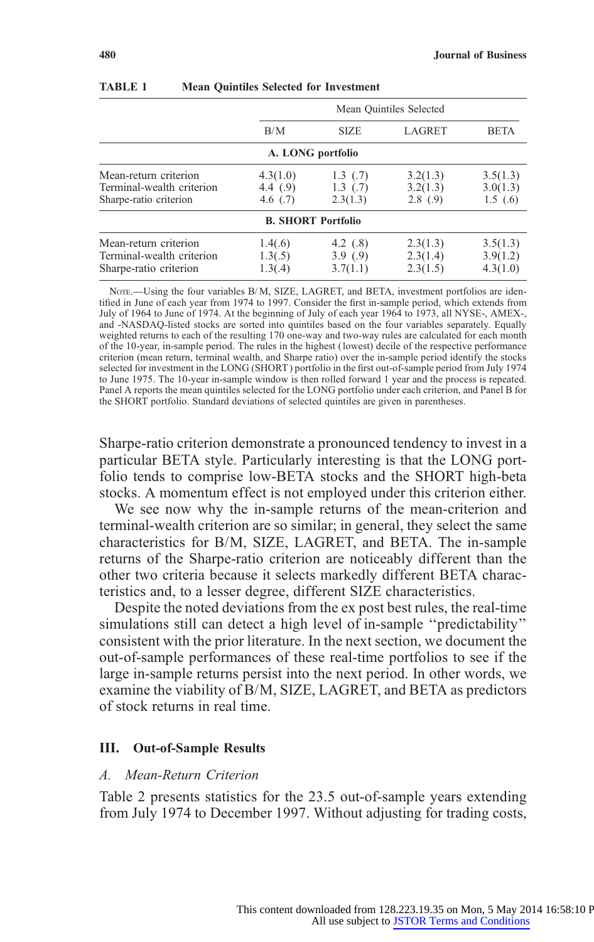|                                                                              | Mean Quintiles Selected              |                                   |                                  |                                  |  |  |  |
|------------------------------------------------------------------------------|--------------------------------------|-----------------------------------|----------------------------------|----------------------------------|--|--|--|
|                                                                              | B/M                                  | <b>SIZE</b>                       | <b>LAGRET</b>                    | <b>BETA</b>                      |  |  |  |
|                                                                              |                                      | A. LONG portfolio                 |                                  |                                  |  |  |  |
| Mean-return criterion<br>Terminal-wealth criterion<br>Sharpe-ratio criterion | 4.3(1.0)<br>4.4 $(.9)$<br>4.6 $(.7)$ | 1.3(0.7)<br>1.3(0.7)<br>2.3(1.3)  | 3.2(1.3)<br>3.2(1.3)<br>2.8(0.9) | 3.5(1.3)<br>3.0(1.3)<br>1.5(6)   |  |  |  |
|                                                                              |                                      | <b>B. SHORT Portfolio</b>         |                                  |                                  |  |  |  |
| Mean-return criterion<br>Terminal-wealth criterion<br>Sharpe-ratio criterion | 1.4(.6)<br>1.3(.5)<br>1.3(.4)        | 4.2 $(.8)$<br>3.9(.9)<br>3.7(1.1) | 2.3(1.3)<br>2.3(1.4)<br>2.3(1.5) | 3.5(1.3)<br>3.9(1.2)<br>4.3(1.0) |  |  |  |

TABLE 1 Mean Quintiles Selected for Investment

Nore.--Using the four variables B/M, SIZE, LAGRET, and BETA, investment portfolios are identified in June of each year from 1974 to 1997. Consider the first in-sample period, which extends from July of 1964 to June of 1974. At the beginning of July of each year 1964 to 1973, all NYSE-, AMEX-, and -NASDAQ-listed stocks are sorted into quintiles based on the four variables separately. Equally weighted returns to each of the resulting 170 one-way and two-way rules are calculated for each month of the 10-year, in-sample period. The rules in the highest (lowest) decile of the respective performance criterion (mean return, terminal wealth, and Sharpe ratio) over the in-sample period identify the stocks selected for investment in the LONG (SHORT ) portfolio in the first out-of-sample period from July 1974 to June 1975. The 10-year in-sample window is then rolled forward 1 year and the process is repeated. Panel A reports the mean quintiles selected for the LONG portfolio under each criterion, and Panel B for the SHORT portfolio. Standard deviations of selected quintiles are given in parentheses.

Sharpe-ratio criterion demonstrate a pronounced tendency to invest in a particular BETA style. Particularly interesting is that the LONG portfolio tends to comprise low-BETA stocks and the SHORT high-beta stocks. A momentum effect is not employed under this criterion either.

We see now why the in-sample returns of the mean-criterion and terminal-wealth criterion are so similar; in general, they select the same characteristics for B/M, SIZE, LAGRET, and BETA. The in-sample returns of the Sharpe-ratio criterion are noticeably different than the other two criteria because it selects markedly different BETA characteristics and, to a lesser degree, different SIZE characteristics.

Despite the noted deviations from the ex post best rules, the real-time simulations still can detect a high level of in-sample ''predictability'' consistent with the prior literature. In the next section, we document the out-of-sample performances of these real-time portfolios to see if the large in-sample returns persist into the next period. In other words, we examine the viability of B/M, SIZE, LAGRET, and BETA as predictors of stock returns in real time.

#### III. Out-of-Sample Results

# A. Mean-Return Criterion

Table 2 presents statistics for the 23.5 out-of-sample years extending from July 1974 to December 1997. Without adjusting for trading costs,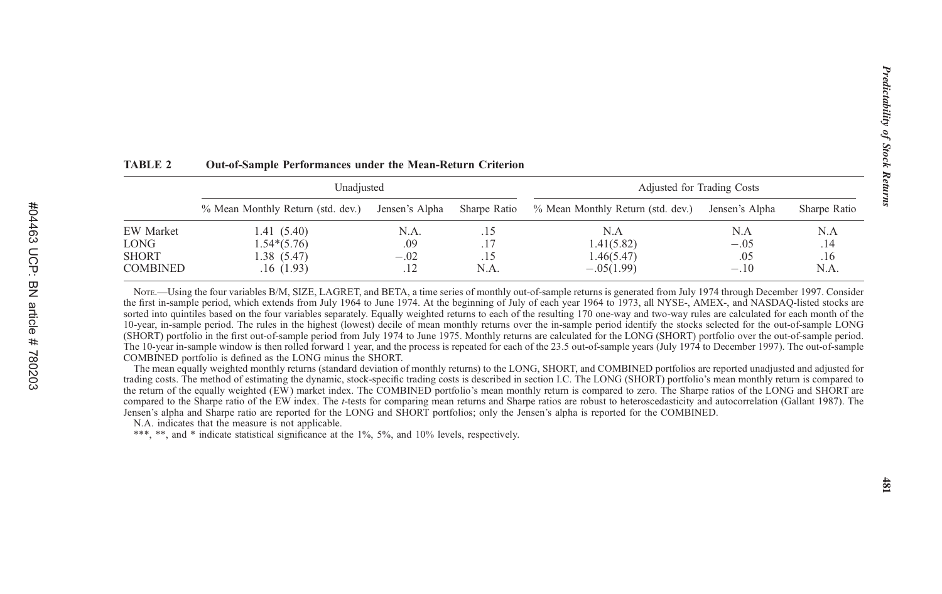|              | Unadjusted                        |                |              | Adjusted for Trading Costs        |                |              |  |  |
|--------------|-----------------------------------|----------------|--------------|-----------------------------------|----------------|--------------|--|--|
|              | % Mean Monthly Return (std. dev.) | Jensen's Alpha | Sharpe Ratio | % Mean Monthly Return (std. dev.) | Jensen's Alpha | Sharpe Ratio |  |  |
| EW Market    | 1.41(5.40)                        | N.A.           |              | N.A                               | N.A            | N.A          |  |  |
| LONG         | $1.54*(5.76)$                     | .09            |              | 1.41(5.82)                        | $-.05$         | .14          |  |  |
| <b>SHORT</b> | 1.38 (5.47)                       | $-.02$         | .15          | 1.46(5.47)                        | .05            | .16          |  |  |
| COMBINED     | .16(1.93)                         |                | N.A.         | $-.05(1.99)$                      | $-.10$         | N.A.         |  |  |

#### TABLE 2 Out-of-Sample Performances under the Mean-Return Criterion

NOTE.—Using the four variables B/M, SIZE, LAGRET, and BETA, a time series of monthly out-of-sample returns is generated from July 1974 through December 1997. Consider the first in-sample period, which extends from July 1964 to June 1974. At the beginning of July of each year 1964 to 1973, all NYSE-, AMEX-, and NASDAQ-listed stocks are sorted into quintiles based on the four variables separately. Equally weighted returns to each of the resulting 170 one-way and two-way rules are calculated for each month of the 10-year, in-sample period. The rules in the highest (lowest) decile of mean monthly returns over the in-sample period identify the stocks selected for the out-of-sample LONG (SHORT) portfolio in the first out-of-sample period from July 1974 to June 1975. Monthly returns are calculated for the LONG (SHORT) portfolio over the out-of-sample period. The 10-year in-sample window is then rolled forward 1 year, and the process is repeated for each of the 23.5 out-of-sample years (July 1974 to December 1997). The out-of-sample COMBINED portfolio is defined as the LONG minus the SHORT.

The mean equally weighted monthly returns (standard deviation of monthly returns) to the LONG, SHORT, and COMBINED portfolios are reported unadjusted and adjusted for trading costs. The method of estimating the dynamic, stock-specific trading costs is described in section I.C. The LONG (SHORT) portfolio's mean monthly return is compared to the return of the equally weighted (EW ) market index. The COMBINED portfolio's mean monthly return is compared to zero. The Sharpe ratios of the LONG and SHORT are compared to the Sharpe ratio of the EW index. The <sup>t</sup>-tests for comparing mean returns and Sharpe ratios are robust to heteroscedasticity and autocorrelation (Gallant 1987). The Jensen's alpha and Sharpe ratio are reported for the LONG and SHORT portfolios; only the Jensen's alpha is reported for the COMBINED.

N.A. indicates that the measure is not applicable.

\*\*\*, \*\*, and \* indicate statistical significance at the 1%, 5%, and 10% levels, respectively.

This content downloaded from 128.223.19.35 on Mon, 5 May 2014 16:58:10 PMAll use subject to [JSTOR Terms and Conditions](http://www.jstor.org/page/info/about/policies/terms.jsp)

 $481$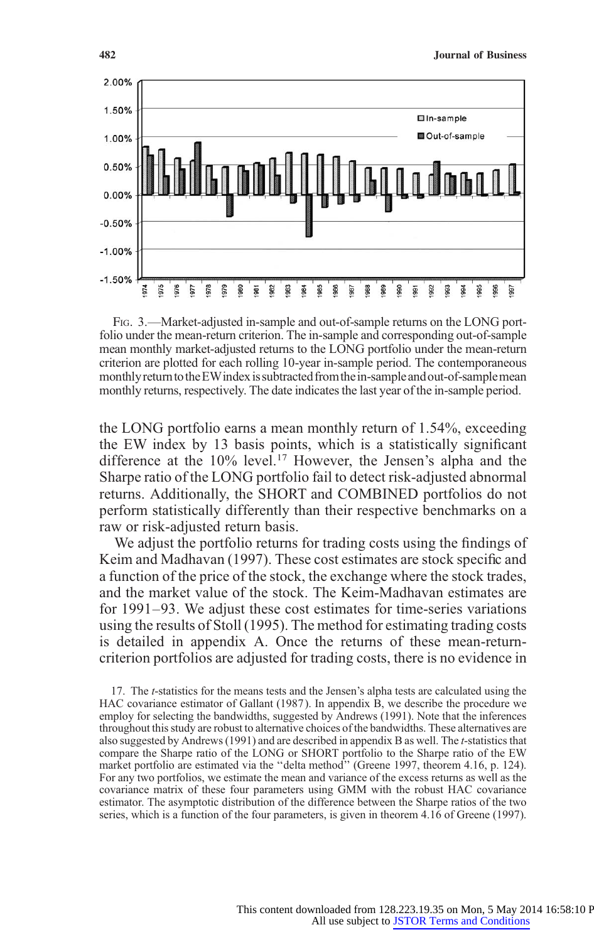

Fig. 3.—Market-adjusted in-sample and out-of-sample returns on the LONG portfolio under the mean-return criterion. The in-sample and corresponding out-of-sample mean monthly market-adjusted returns to the LONG portfolio under the mean-return criterion are plotted for each rolling 10-year in-sample period. The contemporaneous monthly return to the EW index is subtracted from the in-sample and out-of-sample mean monthly returns, respectively. The date indicates the last year of the in-sample period.

the LONG portfolio earns a mean monthly return of 1.54%, exceeding the EW index by 13 basis points, which is a statistically significant difference at the 10% level.<sup>17</sup> However, the Jensen's alpha and the Sharpe ratio of the LONG portfolio fail to detect risk-adjusted abnormal returns. Additionally, the SHORT and COMBINED portfolios do not perform statistically differently than their respective benchmarks on a raw or risk-adjusted return basis.

We adjust the portfolio returns for trading costs using the findings of Keim and Madhavan (1997). These cost estimates are stock specific and a function of the price of the stock, the exchange where the stock trades, and the market value of the stock. The Keim-Madhavan estimates are for 1991–93. We adjust these cost estimates for time-series variations using the results of Stoll (1995). The method for estimating trading costs is detailed in appendix A. Once the returns of these mean-returncriterion portfolios are adjusted for trading costs, there is no evidence in

<sup>17.</sup> The t-statistics for the means tests and the Jensen's alpha tests are calculated using the HAC covariance estimator of Gallant (1987). In appendix B, we describe the procedure we employ for selecting the bandwidths, suggested by Andrews (1[991\). Note that the inferences](http://www.jstor.org/page/info/about/policies/terms.jsp) throughout this study are robust to alternative choices of the bandwidths. These alternatives are also suggested by Andrews (1991) and are described in appendix B as well. The t-statistics that compare the Sharpe ratio of the LONG or SHORT portfolio to the Sharpe ratio of the EW market portfolio are estimated via the ''delta method'' (Greene 1997, theorem 4.16, p. 124). For any two portfolios, we estimate the mean and variance of the excess returns as well as the covariance matrix of these four parameters using GMM with the robust HAC covariance estimator. The asymptotic distribution of the difference between the Sharpe ratios of the two series, which is a function of the four parameters, is given in theorem 4.16 of Greene (1997).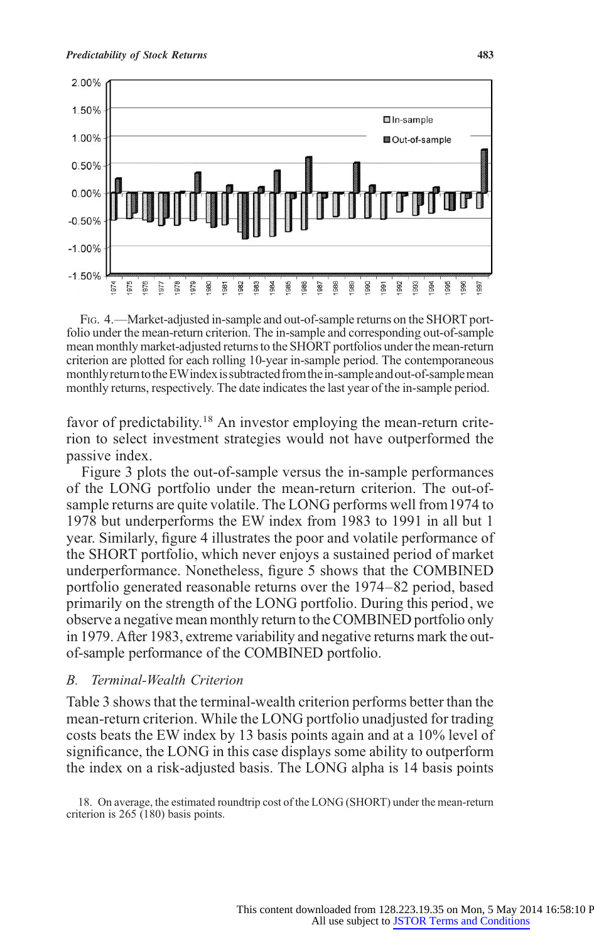Predictability of Stock Returns 483



Fig. 4.—Market-adjusted in-sample and out-of-sample returns on the SHORT portfolio under the mean-return criterion. The in-sample and corresponding out-of-sample mean monthly market-adjusted returns to the SHORT portfolios under the mean-return criterion are plotted for each rolling 10-year in-sample period. The contemporaneous monthly return to the EW index is subtracted from the in-sample and out-of-sample mean monthly returns, respectively. The date indicates the last year of the in-sample period.

favor of predictability.<sup>18</sup> An investor employing the mean-return criterion to select investment strategies would not have outperformed the passive index.

Figure 3 plots the out-of-sample versus the in-sample performances of the LONG portfolio under the mean-return criterion. The out-ofsample returns are quite volatile. The LONG performs well from1974 to 1978 but underperforms the EW index from 1983 to 1991 in all but 1 year. Similarly, figure 4 illustrates the poor and volatile performance of the SHORT portfolio, which never enjoys a sustained period of market underperformance. Nonetheless, figure 5 shows that the COMBINED portfolio generated reasonable returns over the 1974–82 period, based primarily on the strength of the LONG portfolio. During this period, we observe a negative mean monthly return to the COMBINED portfolio only in 1979. After 1983, extreme variability and negative returns mark the outof-sample performance of the COMBINED portfolio.

### B. Terminal-Wealth Criterion

Table 3 shows that the terminal-wealth criterion performs better than the mean-return criterion. While the LONG portfolio unad[justed for trading](http://www.jstor.org/page/info/about/policies/terms.jsp) costs beats the EW index by 13 basis points again and at a 10% level of significance, the LONG in this case displays some ability to outperform the index on a risk-adjusted basis. The LONG alpha is 14 basis points

18. On average, the estimated roundtrip cost of the LONG (SHORT) under the mean-return criterion is  $265$  (180) basis points.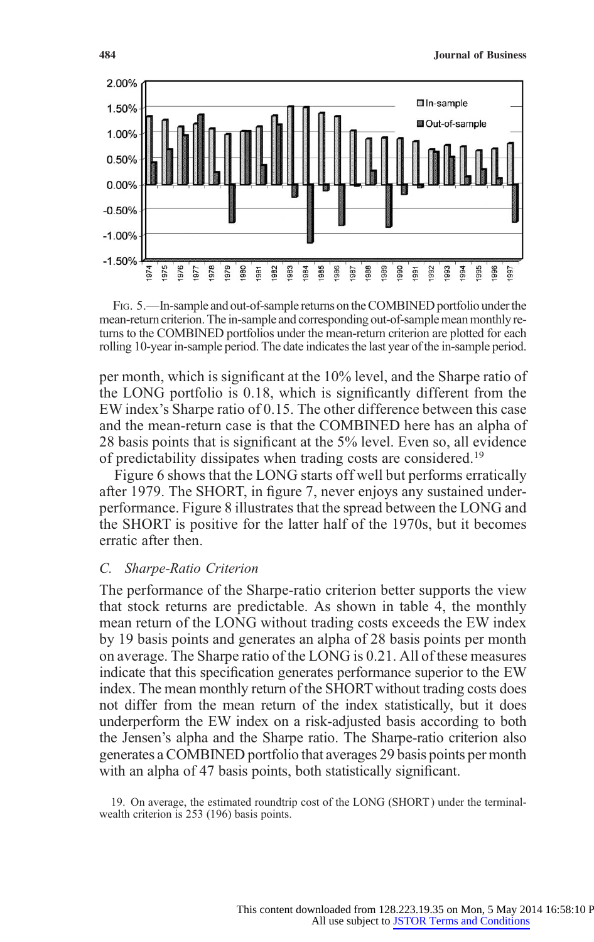



FIG. 5.—In-sample and out-of-sample returns on the COMBINED portfolio under the mean-return criterion. The in-sample and corresponding out-of-sample mean monthly returns to the COMBINED portfolios under the mean-return criterion are plotted for each rolling 10-year in-sample period. The date indicates the last year of the in-sample period.

per month, which is significant at the 10% level, and the Sharpe ratio of the LONG portfolio is 0.18, which is significantly different from the EW index's Sharpe ratio of 0.15. The other difference between this case and the mean-return case is that the COMBINED here has an alpha of 28 basis points that is significant at the 5% level. Even so, all evidence of predictability dissipates when trading costs are considered.<sup>19</sup>

Figure 6 shows that the LONG starts off well but performs erratically after 1979. The SHORT, in figure 7, never enjoys any sustained underperformance. Figure 8 illustrates that the spread between the LONG and the SHORT is positive for the latter half of the 1970s, but it becomes erratic after then.

# C. Sharpe-Ratio Criterion

The performance of the Sharpe-ratio criterion better supports the view that stock returns are predictable. As shown in table 4, the monthly mean return of the LONG without trading costs exceeds the EW index by 19 basis points and generates an alpha of 28 basis points per month on average. The Sharpe ratio of the LONG is 0.21. All of these measures indicate that this specification generates performance superior to the EW index. The mean monthly return of the SHORT without trading costs does not differ from the mean return of the index statistically, but it does underperform the EW index on a risk-adjusted [basis according to both](http://www.jstor.org/page/info/about/policies/terms.jsp) the Jensen's alpha and the Sharpe ratio. The Sharpe-ratio criterion also generates a COMBINED portfolio that averages 29 basis points per month with an alpha of 47 basis points, both statistically significant.

19. On average, the estimated roundtrip cost of the LONG (SHORT ) under the terminalwealth criterion is 253 (196) basis points.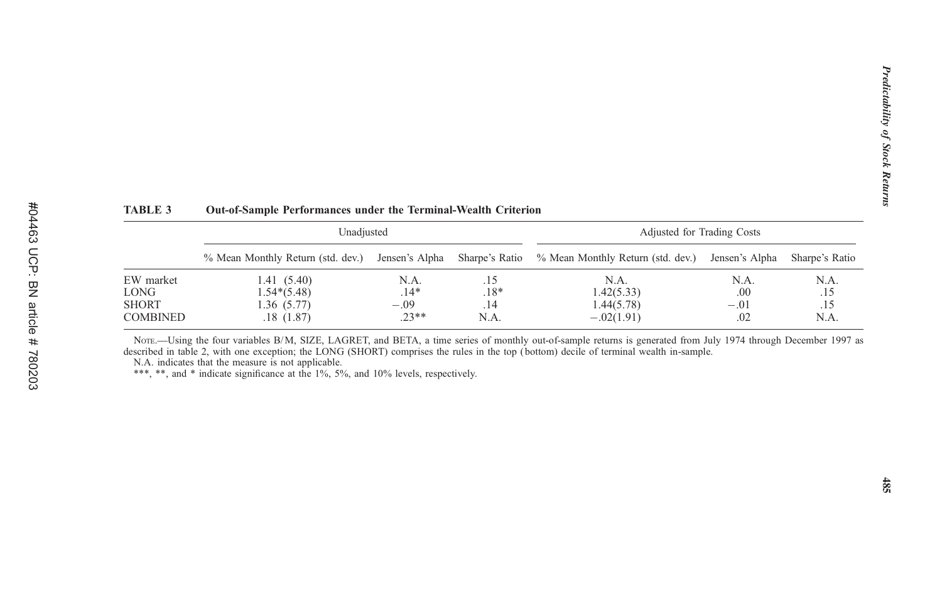| structure and in the structure<br>j |
|-------------------------------------|
|                                     |
|                                     |
|                                     |
|                                     |
| j                                   |
| š                                   |
| $D_{atim}$                          |
|                                     |
|                                     |
|                                     |
|                                     |
|                                     |
|                                     |
|                                     |
|                                     |
|                                     |
|                                     |
|                                     |
|                                     |
|                                     |
|                                     |
|                                     |
|                                     |
|                                     |
|                                     |
|                                     |
|                                     |
| 485                                 |

|                                               | Unadjusted                                              |                                     |                            | Adjusted for Trading Costs                       |                              |                            |  |  |
|-----------------------------------------------|---------------------------------------------------------|-------------------------------------|----------------------------|--------------------------------------------------|------------------------------|----------------------------|--|--|
|                                               | % Mean Monthly Return (std. dev.)                       | Jensen's Alpha                      | Sharpe's Ratio             | % Mean Monthly Return (std. dev.) Jensen's Alpha |                              | Sharpe's Ratio             |  |  |
| EW market<br>LONG<br><b>SHORT</b><br>COMBINED | 1.41(5.40)<br>$1.54*(5.48)$<br>1.36 (5.77)<br>.18(1.87) | N.A.<br>$.14*$<br>$-.09$<br>$.23**$ | .15<br>.18*<br>.14<br>N.A. | N.A.<br>1.42(5.33)<br>1.44(5.78)<br>$-.02(1.91)$ | N.A.<br>.00<br>$-.01$<br>.02 | N.A.<br>.15<br>.15<br>N.A. |  |  |

#### TABLE 3 Out-of-Sample Performances under the Terminal-Wealth Criterion

Nore.—Using the four variables B/M, SIZE, LAGRET, and BETA, a time series of monthly out-of-sample returns is generated from July 1974 through December 1997 as described in table 2, with one exception; the LONG (SHORT) com

 $485$ 

This content downloaded from 128.223.19.35 on Mon, 5 May 2014 16:58:10 PM All use subject to [JSTOR Terms and Conditions](http://www.jstor.org/page/info/about/policies/terms.jsp)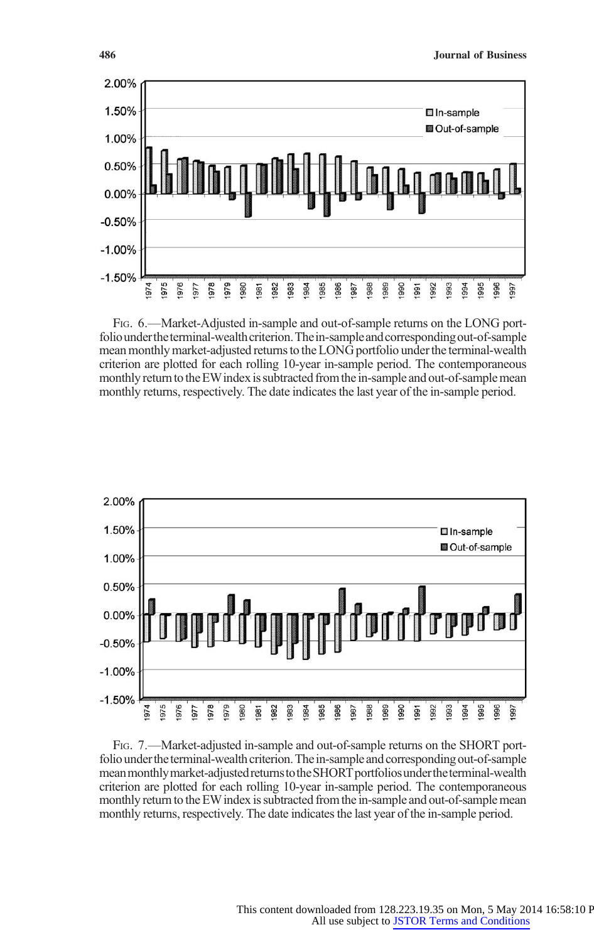

Fig. 6.—Market-Adjusted in-sample and out-of-sample returns on the LONG portfolio under the terminal-wealth criterion. The in-sample and corresponding out-of-sample mean monthly market-adjusted returns to the LONG portfolio under the terminal-wealth criterion are plotted for each rolling 10-year in-sample period. The contemporaneous monthly return to the EW index is subtracted from the in-sample and out-of-sample mean monthly returns, respectively. The date indicates the last year of the in-sample period.



Fig. 7.—Market-adjusted in-sample and out-of-sample returns on the SHORT portfolio under the terminal-wealth criterion. The in-sample and corresponding out-of-sample mean monthly market-adjusted returns to the SHORT portfolios under the terminal-wealth criterion are plotted for each rolling 10-year in-sample period. The contemporaneous monthly return to the EWindex is subtracted from the in-sample and out-of-sample mean monthly returns, respectively. The date indicates the last year of the in-sample period.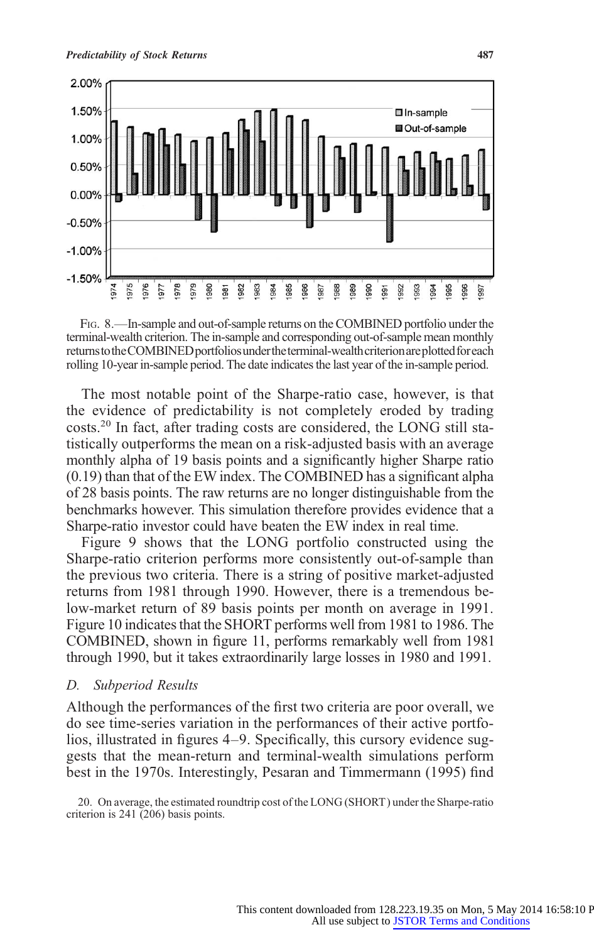**Predictability of Stock Returns** 487



Fig. 8.—In-sample and out-of-sample returns on the COMBINED portfolio under the terminal-wealth criterion. The in-sample and corresponding out-of-sample mean monthly returns to the COMBINED portfolios under the terminal-wealth criterion are plotted for each rolling 10-year in-sample period. The date indicates the last year of the in-sample period.

The most notable point of the Sharpe-ratio case, however, is that the evidence of predictability is not completely eroded by trading costs.<sup>20</sup> In fact, after trading costs are considered, the LONG still statistically outperforms the mean on a risk-adjusted basis with an average monthly alpha of 19 basis points and a significantly higher Sharpe ratio (0.19) than that of the EW index. The COMBINED has a significant alpha of 28 basis points. The raw returns are no longer distinguishable from the benchmarks however. This simulation therefore provides evidence that a Sharpe-ratio investor could have beaten the EW index in real time.

Figure 9 shows that the LONG portfolio constructed using the Sharpe-ratio criterion performs more consistently out-of-sample than the previous two criteria. There is a string of positive market-adjusted returns from 1981 through 1990. However, there is a tremendous below-market return of 89 basis points per month on average in 1991. Figure 10 indicates that the SHORT performs well from 1981 to 1986. The COMBINED, shown in figure 11, performs remarkably well from 1981 through 1990, but it takes extraordinarily large losses in 1980 and 1991.

# D. Subperiod Results

Although the performances of the first two criteria are poor overall, we do see time-series variation in the performances of th[eir active portfo](http://www.jstor.org/page/info/about/policies/terms.jsp)lios, illustrated in figures 4–9. Specifically, this cursory evidence suggests that the mean-return and terminal-wealth simulations perform best in the 1970s. Interestingly, Pesaran and Timmermann (1995) find

20. On average, the estimated roundtrip cost of the LONG (SHORT ) under the Sharpe-ratio criterion is 241 (206) basis points.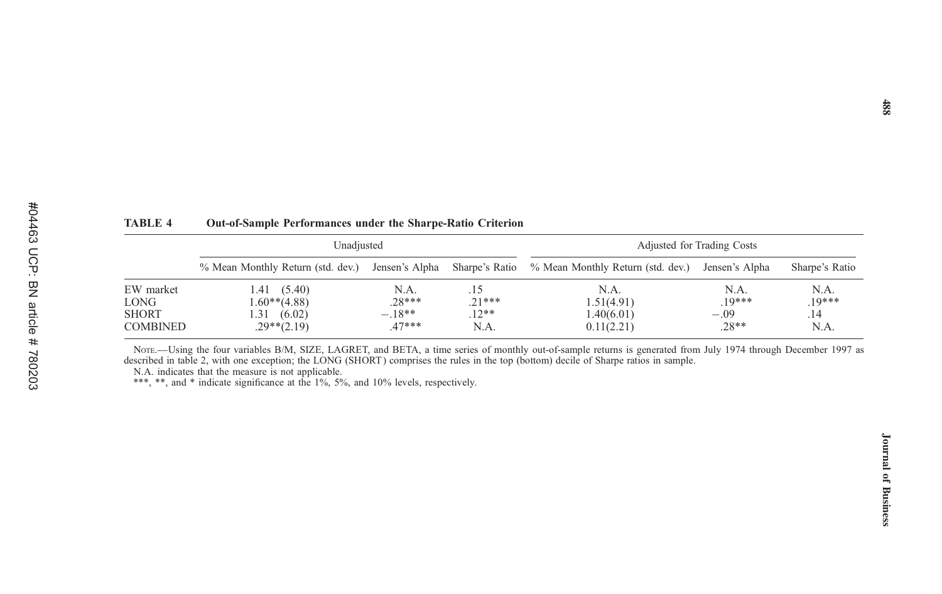|                                                      | Unadjusted                                                            |                                          |                                    | Adjusted for Trading Costs                                      |                                      |                                 |  |  |
|------------------------------------------------------|-----------------------------------------------------------------------|------------------------------------------|------------------------------------|-----------------------------------------------------------------|--------------------------------------|---------------------------------|--|--|
|                                                      | % Mean Monthly Return (std. dev.)                                     |                                          |                                    | Jensen's Alpha Sharpe's Ratio % Mean Monthly Return (std. dev.) | Jensen's Alpha                       | Sharpe's Ratio                  |  |  |
| EW market<br>LONG<br><b>SHORT</b><br><b>COMBINED</b> | (5.40)<br>1.41<br>$1.60**$ (4.88)<br>(6.02)<br>1.31<br>$.29**$ (2.19) | N.A.<br>$.28***$<br>$-.18**$<br>$.47***$ | .15<br>$.21***$<br>$.12**$<br>N.A. | N.A.<br>1.51(4.91)<br>1.40(6.01)<br>0.11(2.21)                  | N.A.<br>$10***$<br>$-.09$<br>$.28**$ | N.A.<br>$.19***$<br>.14<br>N.A. |  |  |

#### TABLE 4 Out-of-Sample Performances under the Sharpe-Ratio Criterion

NOTE.—Using the four variables B/M, SIZE, LAGRET, and BETA, a time series of monthly out-of-sample returns is generated from July 1974 through December 1997 as described in table 2, with one exception; the LONG (SHORT) comprises the rules in the top (bottom) decile of Sharpe ratios in sample N.A. indicates that the measure is not applicable.<br>\*\*\*,\*\*, and\* indicate significance at

Journal of Business Journal of Business

This content downloaded from 128.223.19.35 on Mon, 5 May 2014 16:58:10 PM All use subject to [JSTOR Terms and Conditions](http://www.jstor.org/page/info/about/policies/terms.jsp)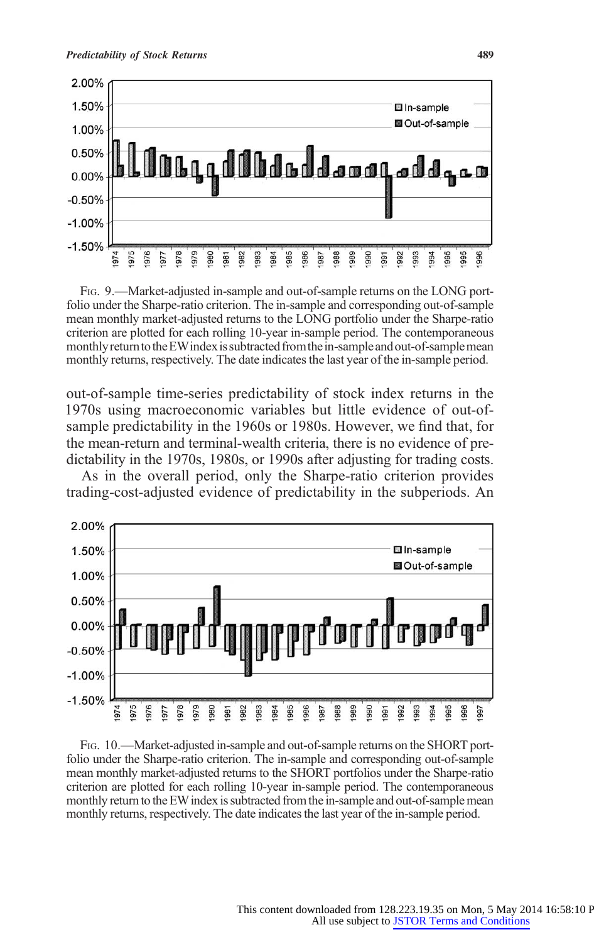



Fig. 9.—Market-adjusted in-sample and out-of-sample returns on the LONG portfolio under the Sharpe-ratio criterion. The in-sample and corresponding out-of-sample mean monthly market-adjusted returns to the LONG portfolio under the Sharpe-ratio criterion are plotted for each rolling 10-year in-sample period. The contemporaneous monthly return to the EW index is subtracted from the in-sample and out-of-sample mean monthly returns, respectively. The date indicates the last year of the in-sample period.

out-of-sample time-series predictability of stock index returns in the 1970s using macroeconomic variables but little evidence of out-ofsample predictability in the 1960s or 1980s. However, we find that, for the mean-return and terminal-wealth criteria, there is no evidence of predictability in the 1970s, 1980s, or 1990s after adjusting for trading costs.

As in the overall period, only the Sharpe-ratio criterion provides trading-cost-adjusted evidence of predictability in the subperiods. An



Fig. 10.—Market-adjusted in-sample and out-of-sample returns on the SHORT portfolio under the Sharpe-ratio criterion. The in-sample and corresponding out-of-sample mean monthly market-adjusted returns to the SHORT portfolios under the Sharpe-ratio criterion are plotted for each rolling 10-year in-sample period. The contemporaneous monthly return to the EWindex is subtracted from the in-sample and out-of-sample mean monthly returns, respectively. The date indicates the last year of the in-sample period.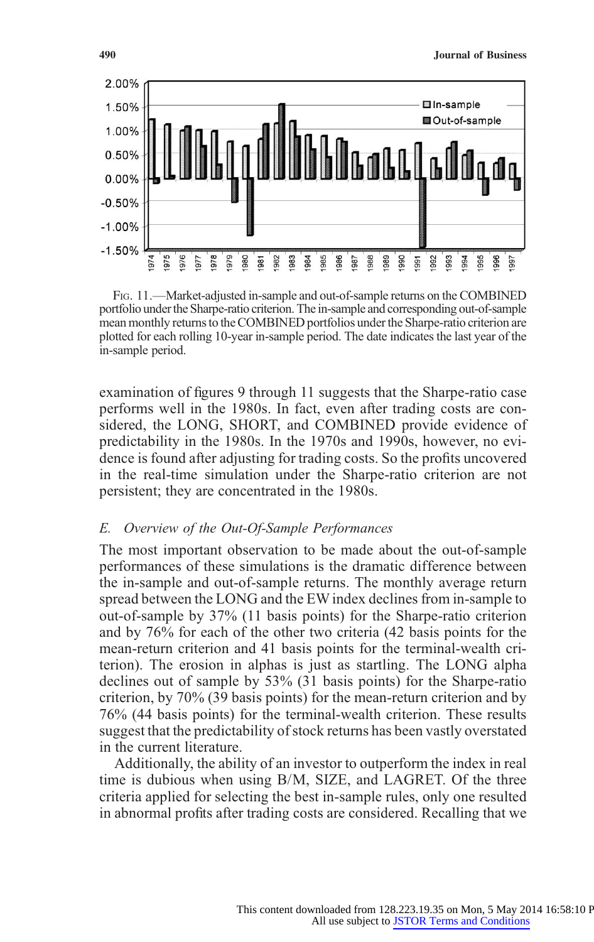

Fig. 11.—Market-adjusted in-sample and out-of-sample returns on the COMBINED portfolio under the Sharpe-ratio criterion. The in-sample and corresponding out-of-sample mean monthly returns to the COMBINED portfolios under the Sharpe-ratio criterion are plotted for each rolling 10-year in-sample period. The date indicates the last year of the in-sample period.

examination of figures 9 through 11 suggests that the Sharpe-ratio case performs well in the 1980s. In fact, even after trading costs are considered, the LONG, SHORT, and COMBINED provide evidence of predictability in the 1980s. In the 1970s and 1990s, however, no evidence is found after adjusting for trading costs. So the profits uncovered in the real-time simulation under the Sharpe-ratio criterion are not persistent; they are concentrated in the 1980s.

# E. Overview of the Out-Of-Sample Performances

The most important observation to be made about the out-of-sample performances of these simulations is the dramatic difference between the in-sample and out-of-sample returns. The monthly average return spread between the LONG and the EW index declines from in-sample to out-of-sample by 37% (11 basis points) for the Sharpe-ratio criterion and by 76% for each of the other two criteria (42 basis points for the mean-return criterion and 41 basis points for the terminal-wealth criterion). The erosion in alphas is just as startling. The LONG alpha declines out of sample by 53% (31 basis points) for the Sharpe-ratio criterion, by 70% (39 basis points) for the mean-return criterion and by 76% (44 basis points) for the terminal-wealth c[riterion. These results](http://www.jstor.org/page/info/about/policies/terms.jsp) suggest that the predictability of stock returns has been vastly overstated in the current literature.

Additionally, the ability of an investor to outperform the index in real time is dubious when using B/M, SIZE, and LAGRET. Of the three criteria applied for selecting the best in-sample rules, only one resulted in abnormal profits after trading costs are considered. Recalling that we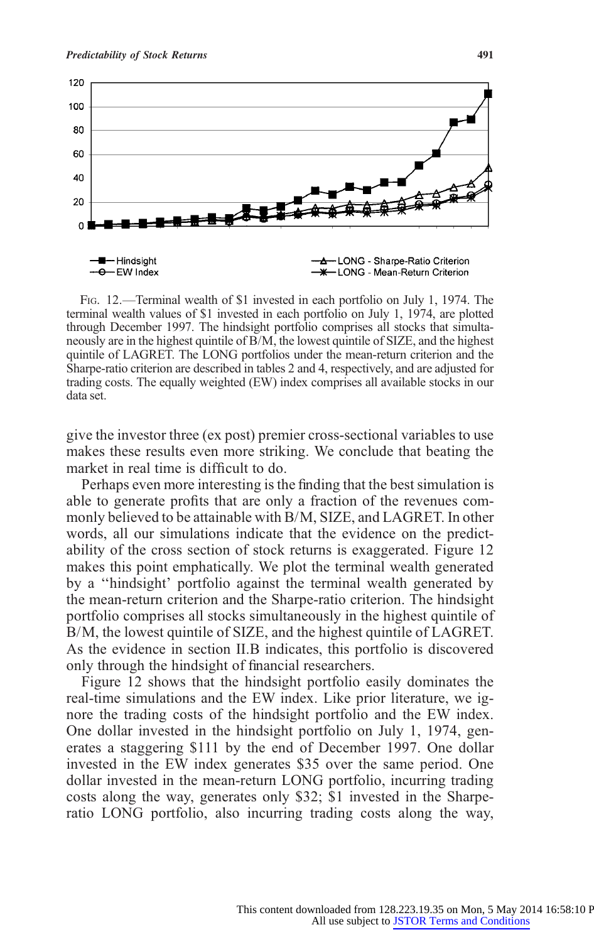Predictability of Stock Returns 491



Fig. 12.—Terminal wealth of \$1 invested in each portfolio on July 1, 1974. The terminal wealth values of \$1 invested in each portfolio on July 1, 1974, are plotted through December 1997. The hindsight portfolio comprises all stocks that simultaneously are in the highest quintile of B/M, the lowest quintile of SIZE, and the highest quintile of LAGRET. The LONG portfolios under the mean-return criterion and the Sharpe-ratio criterion are described in tables 2 and 4, respectively, and are adjusted for trading costs. The equally weighted (EW) index comprises all available stocks in our data set.

give the investor three (ex post) premier cross-sectional variables to use makes these results even more striking. We conclude that beating the market in real time is difficult to do.

Perhaps even more interesting is the finding that the best simulation is able to generate profits that are only a fraction of the revenues commonly believed to be attainable with B/M, SIZE, and LAGRET. In other words, all our simulations indicate that the evidence on the predictability of the cross section of stock returns is exaggerated. Figure 12 makes this point emphatically. We plot the terminal wealth generated by a ''hindsight' portfolio against the terminal wealth generated by the mean-return criterion and the Sharpe-ratio criterion. The hindsight portfolio comprises all stocks simultaneously in the highest quintile of B/M, the lowest quintile of SIZE, and the highest quintile of LAGRET. As the evidence in section II.B indicates, this portfolio is discovered only through the hindsight of financial researchers.

Figure 12 shows that the hindsight portfolio easily dominates the real-time simulations and the EW index. Like prior literature, we ignore the trading costs of the hindsight portfolio an[d the EW index.](http://www.jstor.org/page/info/about/policies/terms.jsp) One dollar invested in the hindsight portfolio on July 1, 1974, generates a staggering \$111 by the end of December 1997. One dollar invested in the EW index generates \$35 over the same period. One dollar invested in the mean-return LONG portfolio, incurring trading costs along the way, generates only \$32; \$1 invested in the Sharperatio LONG portfolio, also incurring trading costs along the way,

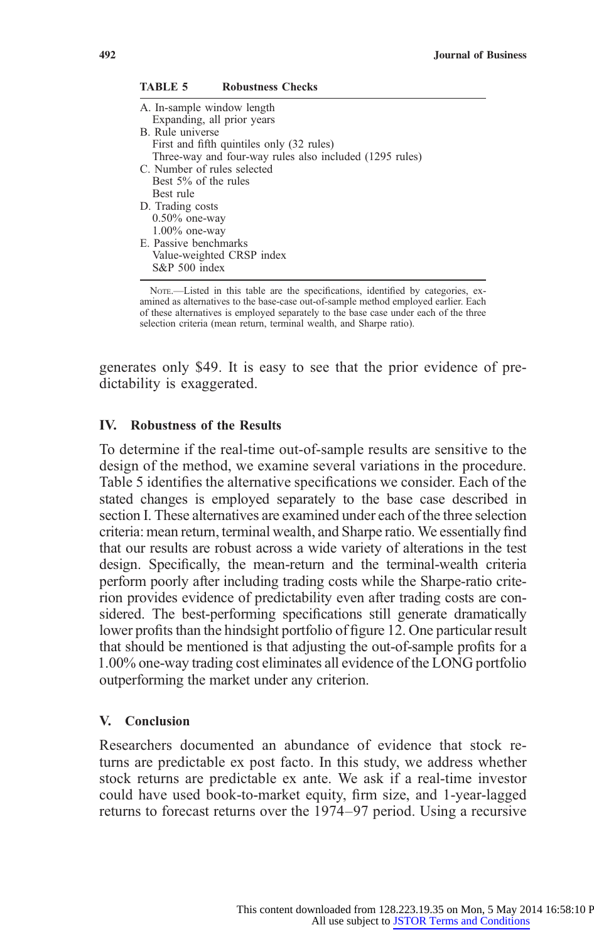| <b>TABLE 5</b>              | <b>Robustness Checks</b>                                |
|-----------------------------|---------------------------------------------------------|
| A. In-sample window length  |                                                         |
|                             | Expanding, all prior years                              |
| B. Rule universe            |                                                         |
|                             | First and fifth quintiles only (32 rules)               |
|                             | Three-way and four-way rules also included (1295 rules) |
| C. Number of rules selected |                                                         |
| Best 5% of the rules        |                                                         |
| Best rule                   |                                                         |
| D. Trading costs            |                                                         |
| $0.50\%$ one-way            |                                                         |
| $1.00\%$ one-way            |                                                         |
| E. Passive benchmarks       |                                                         |
|                             | Value-weighted CRSP index                               |
| S&P 500 index               |                                                         |

Note.—Listed in this table are the specifications, identified by categories, examined as alternatives to the base-case out-of-sample method employed earlier. Each of these alternatives is employed separately to the base case under each of the three selection criteria (mean return, terminal wealth, and Sharpe ratio).

generates only \$49. It is easy to see that the prior evidence of predictability is exaggerated.

# IV. Robustness of the Results

To determine if the real-time out-of-sample results are sensitive to the design of the method, we examine several variations in the procedure. Table 5 identifies the alternative specifications we consider. Each of the stated changes is employed separately to the base case described in section I. These alternatives are examined under each of the three selection criteria: mean return, terminal wealth, and Sharpe ratio. We essentially find that our results are robust across a wide variety of alterations in the test design. Specifically, the mean-return and the terminal-wealth criteria perform poorly after including trading costs while the Sharpe-ratio criterion provides evidence of predictability even after trading costs are considered. The best-performing specifications still generate dramatically lower profits than the hindsight portfolio of figure 12. One particular result that should be mentioned is that adjusting the out-of-sample profits for a 1.00% one-way trading cost eliminates all evidence of the LONG portfolio outperforming the market under any criterion.

# V. Conclusion

Researchers documented an abundance of evidence that stock returns are predictable ex post facto. In this study, we address whether stock returns are predictable ex ante. We ask if a real-time investor could have used book-to-market equity, firm size, and 1-year-lagged returns to forecast returns over the 1974–97 period. Using a recursive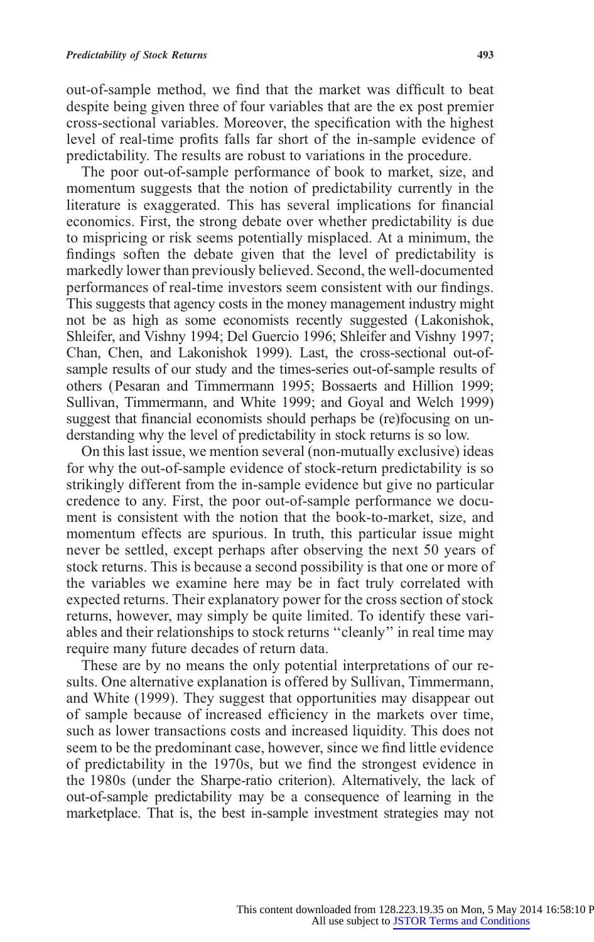out-of-sample method, we find that the market was difficult to beat despite being given three of four variables that are the ex post premier cross-sectional variables. Moreover, the specification with the highest level of real-time profits falls far short of the in-sample evidence of predictability. The results are robust to variations in the procedure.

The poor out-of-sample performance of book to market, size, and momentum suggests that the notion of predictability currently in the literature is exaggerated. This has several implications for financial economics. First, the strong debate over whether predictability is due to mispricing or risk seems potentially misplaced. At a minimum, the findings soften the debate given that the level of predictability is markedly lower than previously believed. Second, the well-documented performances of real-time investors seem consistent with our findings. This suggests that agency costs in the money management industry might not be as high as some economists recently suggested (Lakonishok, Shleifer, and Vishny 1994; Del Guercio 1996; Shleifer and Vishny 1997; Chan, Chen, and Lakonishok 1999). Last, the cross-sectional out-ofsample results of our study and the times-series out-of-sample results of others (Pesaran and Timmermann 1995; Bossaerts and Hillion 1999; Sullivan, Timmermann, and White 1999; and Goyal and Welch 1999) suggest that financial economists should perhaps be (re)focusing on understanding why the level of predictability in stock returns is so low.

On this last issue, we mention several (non-mutually exclusive) ideas for why the out-of-sample evidence of stock-return predictability is so strikingly different from the in-sample evidence but give no particular credence to any. First, the poor out-of-sample performance we document is consistent with the notion that the book-to-market, size, and momentum effects are spurious. In truth, this particular issue might never be settled, except perhaps after observing the next 50 years of stock returns. This is because a second possibility is that one or more of the variables we examine here may be in fact truly correlated with expected returns. Their explanatory power for the cross section of stock returns, however, may simply be quite limited. To identify these variables and their relationships to stock returns ''cleanly'' in real time may require many future decades of return data.

These are by no means the only potential interpretations of our results. One alternative explanation is offered by Sullivan, Timmermann, and White (1999). They suggest that opportunities may disappear out of sample because of increased efficiency in the m[arkets over time,](http://www.jstor.org/page/info/about/policies/terms.jsp) such as lower transactions costs and increased liquidity. This does not seem to be the predominant case, however, since we find little evidence of predictability in the 1970s, but we find the strongest evidence in the 1980s (under the Sharpe-ratio criterion). Alternatively, the lack of out-of-sample predictability may be a consequence of learning in the marketplace. That is, the best in-sample investment strategies may not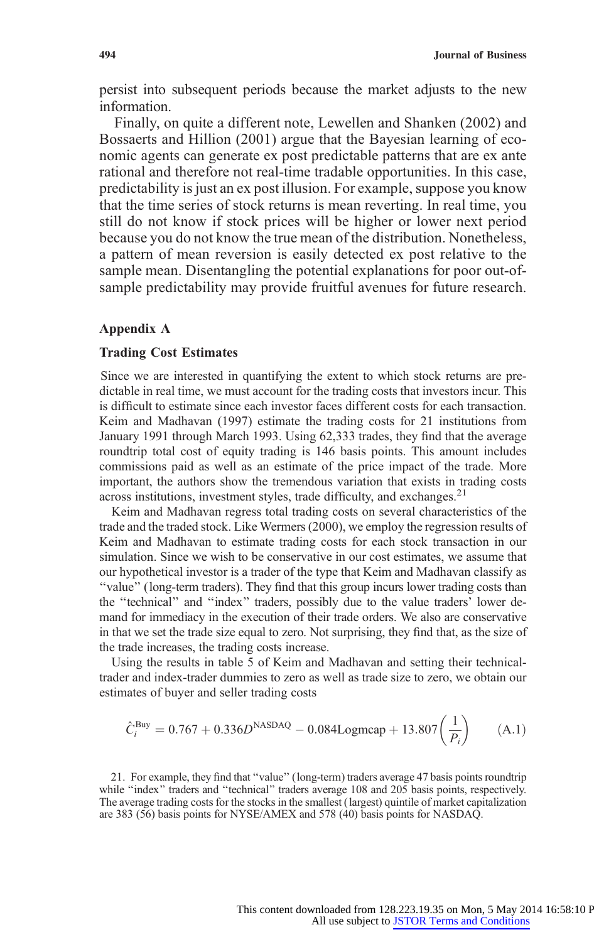persist into subsequent periods because the market adjusts to the new information.

Finally, on quite a different note, Lewellen and Shanken (2002) and Bossaerts and Hillion (2001) argue that the Bayesian learning of economic agents can generate ex post predictable patterns that are ex ante rational and therefore not real-time tradable opportunities. In this case, predictability is just an ex post illusion. For example, suppose you know that the time series of stock returns is mean reverting. In real time, you still do not know if stock prices will be higher or lower next period because you do not know the true mean of the distribution. Nonetheless, a pattern of mean reversion is easily detected ex post relative to the sample mean. Disentangling the potential explanations for poor out-ofsample predictability may provide fruitful avenues for future research.

### Appendix A

# Trading Cost Estimates

Since we are interested in quantifying the extent to which stock returns are predictable in real time, we must account for the trading costs that investors incur. This is difficult to estimate since each investor faces different costs for each transaction. Keim and Madhavan (1997) estimate the trading costs for 21 institutions from January 1991 through March 1993. Using 62,333 trades, they find that the average roundtrip total cost of equity trading is 146 basis points. This amount includes commissions paid as well as an estimate of the price impact of the trade. More important, the authors show the tremendous variation that exists in trading costs across institutions, investment styles, trade difficulty, and exchanges. $2<sup>1</sup>$ 

Keim and Madhavan regress total trading costs on several characteristics of the trade and the traded stock. Like Wermers (2000), we employ the regression results of Keim and Madhavan to estimate trading costs for each stock transaction in our simulation. Since we wish to be conservative in our cost estimates, we assume that our hypothetical investor is a trader of the type that Keim and Madhavan classify as "value" (long-term traders). They find that this group incurs lower trading costs than the ''technical'' and ''index'' traders, possibly due to the value traders' lower demand for immediacy in the execution of their trade orders. We also are conservative in that we set the trade size equal to zero. Not surprising, they find that, as the size of the trade increases, the trading costs increase.

Using the results in table 5 of Keim and Madhavan and setting their technicaltrader and index-trader dummies to zero as well as trade size to zero, we obtain our estimates of buyer and seller trading costs

$$
\hat{C}_i^{\text{Buy}} = 0.767 + 0.336D^{\text{NASDAQ}} - 0.084L \text{ogmcap} + 13.807 \left(\frac{1}{P_i}\right) \tag{A.1}
$$

21. For example, they find that ''value'' (long-term) traders average 47 basis points roundtrip while "index" traders and "technical" traders average 108 and 205 basis points, respectively. The average trading costs for the stocks in the smallest (largest) quintile of market capitalization are 383 (56) basis points for NYSE/AMEX and 578 (40) basis points for NASDAQ.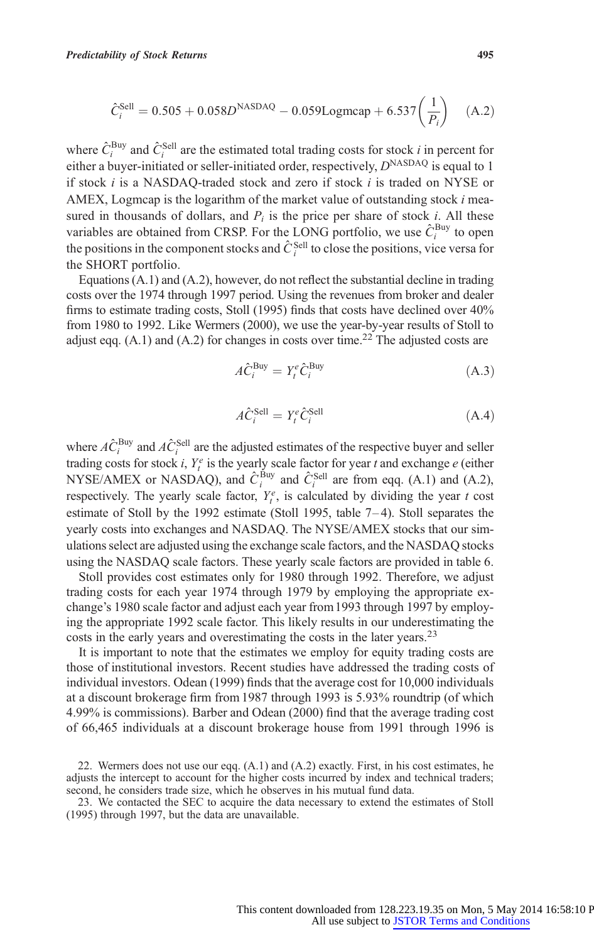$$
\hat{C}_i^{\text{Sell}} = 0.505 + 0.058D^{\text{NASDAQ}} - 0.059\text{Logmcap} + 6.537\left(\frac{1}{P_i}\right) \quad (A.2)
$$

where  $\hat{C}_i^{\text{Buy}}$  and  $\hat{C}_i^{\text{Sell}}$  are the estimated total trading costs for stock *i* in percent for either a buyer-initiated or seller-initiated order, respectively,  $D<sup>NASDAQ</sup>$  is equal to 1 if stock i is a NASDAQ-traded stock and zero if stock i is traded on NYSE or AMEX, Logmcap is the logarithm of the market value of outstanding stock i measured in thousands of dollars, and  $P_i$  is the price per share of stock i. All these variables are obtained from CRSP. For the LONG portfolio, we use  $\hat{C}_i^{\text{Buy}}$  to open the positions in the component stocks and  $\hat{C}_i^{\text{Sell}}$  to close the positions, vice versa for the SHORT portfolio.

Equations (A.1) and (A.2), however, do not reflect the substantial decline in trading costs over the 1974 through 1997 period. Using the revenues from broker and dealer firms to estimate trading costs, Stoll (1995) finds that costs have declined over 40% from 1980 to 1992. Like Wermers (2000), we use the year-by-year results of Stoll to adjust eqq.  $(A.1)$  and  $(A.2)$  for changes in costs over time.<sup>22</sup> The adjusted costs are

$$
A\hat{C}_i^{\text{Buy}} = Y_t^e \hat{C}_i^{\text{Buy}} \tag{A.3}
$$

$$
\hat{AC}_i^{\text{Sell}} = Y_t^e \hat{C}_i^{\text{Sell}} \tag{A.4}
$$

where  $\hat{AC}_i^{\text{Buy}}$  and  $\hat{AC}_i^{\text{Sell}}$  are the adjusted estimates of the respective buyer and seller trading costs for stock *i*,  $Y_t^e$  is the yearly scale factor for year *t* and exchange *e* (either NYSE/AMEX or NASDAQ), and  $\hat{C}_i^{\text{Buy}}$  and  $\hat{C}_i^{\text{Sell}}$  are from eqq. (A.1) and (A.2), respectively. The yearly scale factor,  $Y_t^e$ , is calculated by dividing the year t cost estimate of Stoll by the 1992 estimate (Stoll 1995, table  $7-4$ ). Stoll separates the yearly costs into exchanges and NASDAQ. The NYSE/AMEX stocks that our simulations select are adjusted using the exchange scale factors, and the NASDAQ stocks using the NASDAQ scale factors. These yearly scale factors are provided in table 6.

Stoll provides cost estimates only for 1980 through 1992. Therefore, we adjust trading costs for each year 1974 through 1979 by employing the appropriate exchange's 1980 scale factor and adjust each year from 1993 through 1997 by employing the appropriate 1992 scale factor. This likely results in our underestimating the costs in the early years and overestimating the costs in the later years.<sup>23</sup>

It is important to note that the estimates we employ for equity trading costs are those of institutional investors. Recent studies have addressed the trading costs of individual investors. Odean (1999) finds that the average cost for 10,000 individuals at a discount brokerage firm from 1987 through 1993 is 5.93% roundtrip (of which 4.99% is commissions). Barber and Odean (2000) find that the average trading cost of 66,465 individuals at a discount brokerage house from 19[91](http://www.jstor.org/page/info/about/policies/terms.jsp) [through](http://www.jstor.org/page/info/about/policies/terms.jsp) [1996](http://www.jstor.org/page/info/about/policies/terms.jsp) [is](http://www.jstor.org/page/info/about/policies/terms.jsp)

<sup>22.</sup> Wermers does not use our eqq. (A.1) and (A.2) exactly. First, in his cost estimates, he adjusts the intercept to account for the higher costs incurred by index and technical traders; second, he considers trade size, which he observes in his mutual fund data.

<sup>23.</sup> We contacted the SEC to acquire the data necessary to extend the estimates of Stoll (1995) through 1997, but the data are unavailable.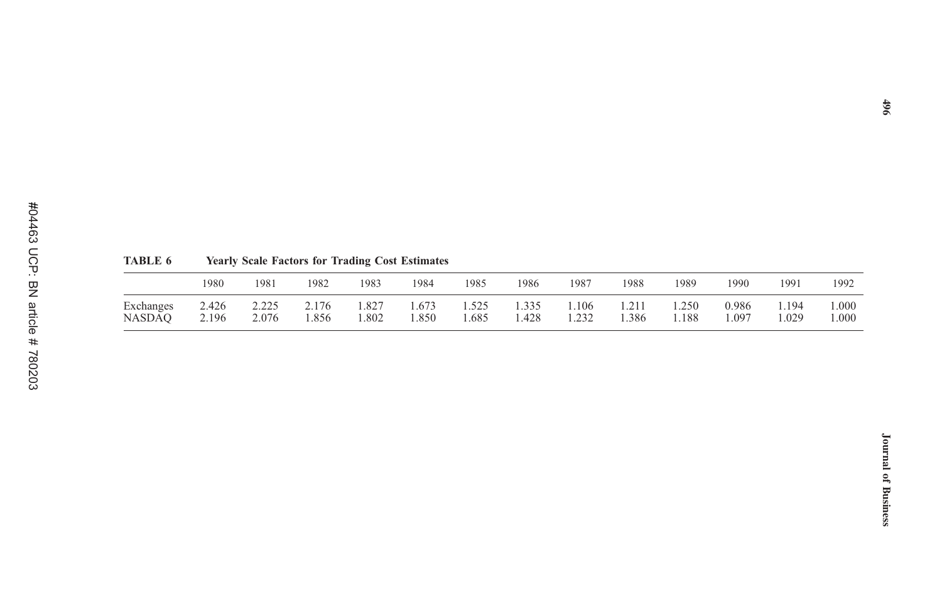| <b>TABLE 6</b>             | <b>Yearly Scale Factors for Trading Cost Estimates</b> |                |               |              |              |              |              |              |              |              |               |                 |              |
|----------------------------|--------------------------------------------------------|----------------|---------------|--------------|--------------|--------------|--------------|--------------|--------------|--------------|---------------|-----------------|--------------|
|                            | 1980                                                   | 1981           | '982          | 1983         | 1984         | 1985         | 1986         | 1987         | 1988         | 1989         | 1990          | 1991            | 1992         |
| Exchanges<br><b>NASDAO</b> | 2.426<br>2.196                                         | 2.225<br>2.076 | 2.176<br>.856 | .827<br>.802 | .673<br>.850 | .525<br>.685 | .335<br>.428 | .106<br>.232 | .211<br>.386 | .250<br>.188 | 0.986<br>.097 | . . 194<br>.029 | .000<br>.000 |

**Journal of Business** Journal of Business

This content downloaded from 128.223.19.35 on Mon, 5 May 2014 16:58:10 PM All use subject to [JSTOR Terms and Conditions](http://www.jstor.org/page/info/about/policies/terms.jsp)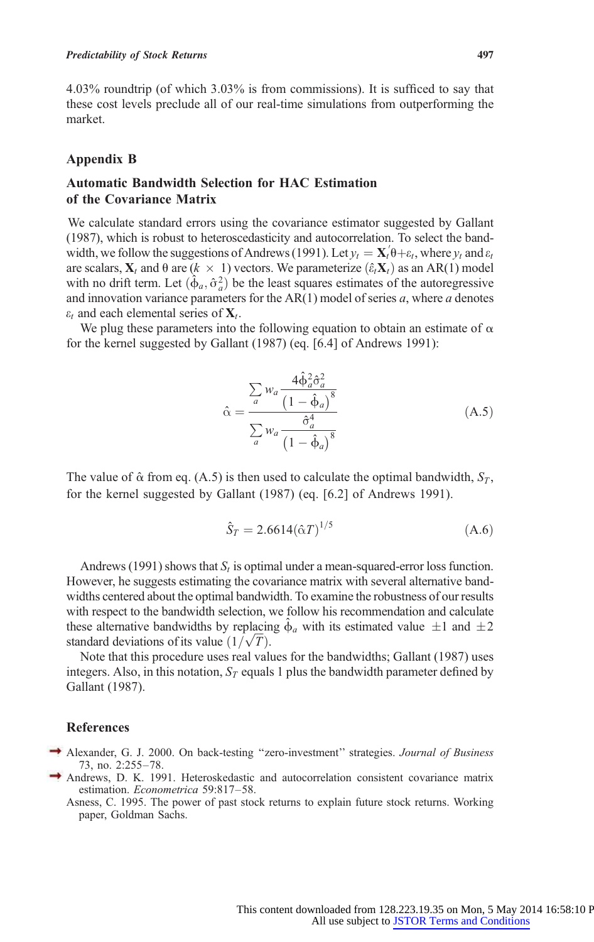4.03% roundtrip (of which 3.03% is from commissions). It is sufficed to say that these cost levels preclude all of our real-time simulations from outperforming the market.

### Appendix B

# Automatic Bandwidth Selection for HAC Estimation of the Covariance Matrix

We calculate standard errors using the covariance estimator suggested by Gallant (1987), which is robust to heteroscedasticity and autocorrelation. To select the bandwidth, we follow the suggestions of Andrews (1991). Let  $y_t = \mathbf{X}'_t \theta + \varepsilon_t$ , where  $y_t$  and  $\varepsilon_t$ are scalars,  $\mathbf{X}_t$  and  $\theta$  are  $(k \times 1)$  vectors. We parameterize  $(\hat{\varepsilon}_t \mathbf{X}_t)$  as an AR(1) model with no drift term. Let  $(\hat{\phi}_a, \hat{\sigma}_a^2)$  be the least squares estimates of the autoregressive and innovation variance parameters for the  $AR(1)$  model of series  $a$ , where  $a$  denotes  $\varepsilon_t$  and each elemental series of  $\mathbf{X}_t$ .

We plug these parameters into the following equation to obtain an estimate of  $\alpha$ for the kernel suggested by Gallant (1987) (eq. [6.4] of Andrews 1991):

$$
\hat{\alpha} = \frac{\sum_{a} w_a \frac{4\hat{\Phi}_a^2 \hat{\sigma}_a^2}{\left(1 - \hat{\Phi}_a\right)^8}}{\sum_{a} w_a \frac{\hat{\sigma}_a^4}{\left(1 - \hat{\Phi}_a\right)^8}}
$$
(A.5)

The value of  $\hat{\alpha}$  from eq. (A.5) is then used to calculate the optimal bandwidth,  $S_T$ , for the kernel suggested by Gallant (1987) (eq. [6.2] of Andrews 1991).

$$
\hat{S}_T = 2.6614(\hat{\alpha}T)^{1/5}
$$
 (A.6)

Andrews (1991) shows that  $S_t$  is optimal under a mean-squared-error loss function. However, he suggests estimating the covariance matrix with several alternative bandwidths centered about the optimal bandwidth. To examine the robustness of our results with respect to the bandwidth selection, we follow his recommendation and calculate these alternative bandwidths by replacing  $\hat{\phi}_a$  with its estimated value  $\pm 1$  and  $\pm 2$ these anemative bandwidths by replacing standard deviations of its value  $(1/\sqrt{T})$ .

Note that this procedure uses real values for the bandwidths; Gallant (1987) uses integers. Also, in this notation,  $S_T$  equals 1 plus the bandwidth parameter defined by Gallant (1987).

#### References

- Alexander, G. J. 2000. On back-testing ''zero-investment'' strategies. Journal of Business 73, no. 2:255–78.
- Andrews, D. K. 1991. Heteroskedastic and autocorrelation consistent covariance matrix estimation. Econometrica 59:817–58.
- Asness, C. 1995. The power of past stock returns to explain future stock returns. Working paper, Goldman Sachs.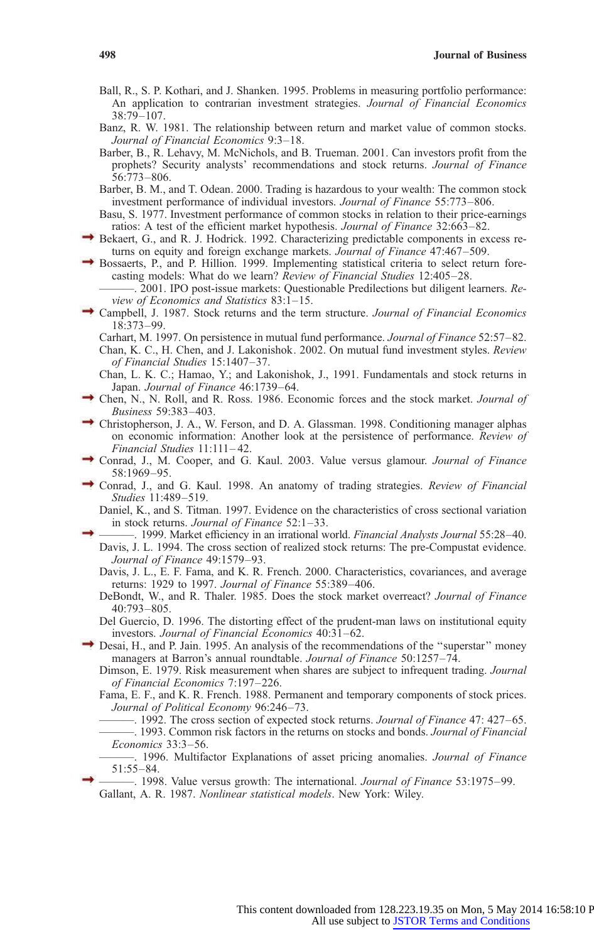- Ball, R., S. P. Kothari, and J. Shanken. 1995. Problems in measuring portfolio performance: An application to contrarian investment strategies. Journal of Financial Economics  $38.79 - 107$
- Banz, R. W. 1981. The relationship between return and market value of common stocks. Journal of Financial Economics 9:3–18.
- Barber, B., R. Lehavy, M. McNichols, and B. Trueman. 2001. Can investors profit from the prophets? Security analysts' recommendations and stock returns. Journal of Finance 56:773–806.
- Barber, B. M., and T. Odean. 2000. Trading is hazardous to your wealth: The common stock investment performance of individual investors. Journal of Finance 55:773–806.
- Basu, S. 1977. Investment performance of common stocks in relation to their price-earnings ratios: A test of the efficient market hypothesis. Journal of Finance 32:663-82.
- Bekaert, G., and R. J. Hodrick. 1992. Characterizing predictable components in excess returns on equity and foreign exchange markets. Journal of Finance 47:467–509.
- Bossaerts, P., and P. Hillion. 1999. Implementing statistical criteria to select return forecasting models: What do we learn? Review of Financial Studies 12:405–28.
	- 2001. IPO post-issue markets: Questionable Predilections but diligent learners. Review of Economics and Statistics 83:1–15.
- Campbell, J. 1987. Stock returns and the term structure. Journal of Financial Economics 18:373–99.
	- Carhart, M. 1997. On persistence in mutual fund performance. Journal of Finance 52:57–82. Chan, K. C., H. Chen, and J. Lakonishok. 2002. On mutual fund investment styles. Review of Financial Studies 15:1407–37.

Chan, L. K. C.; Hamao, Y.; and Lakonishok, J., 1991. Fundamentals and stock returns in Japan. Journal of Finance 46:1739-64.

- Chen, N., N. Roll, and R. Ross. 1986. Economic forces and the stock market. Journal of Business 59:383–403.
- Christopherson, J. A., W. Ferson, and D. A. Glassman. 1998. Conditioning manager alphas on economic information: Another look at the persistence of performance. Review of Financial Studies 11:111– 42.
- Conrad, J., M. Cooper, and G. Kaul. 2003. Value versus glamour. Journal of Finance 58:1969–95.
- Conrad, J., and G. Kaul. 1998. An anatomy of trading strategies. Review of Financial Studies 11:489–519.
- Daniel, K., and S. Titman. 1997. Evidence on the characteristics of cross sectional variation in stock returns. Journal of Finance 52:1–33.
- -. 1999. Market efficiency in an irrational world. Financial Analysts Journal 55:28-40. Davis, J. L. 1994. The cross section of realized stock returns: The pre-Compustat evidence. Journal of Finance 49:1579–93.

Davis, J. L., E. F. Fama, and K. R. French. 2000. Characteristics, covariances, and average returns: 1929 to 1997. Journal of Finance 55:389–406.

DeBondt, W., and R. Thaler. 1985. Does the stock market overreact? Journal of Finance 40:793–805.

Del Guercio, D. 1996. The distorting effect of the prudent-man laws on institutional equity investors. Journal of Financial Economics 40:31–62.

 $\rightarrow$  Desai, H., and P. Jain. 1995. An analysis of the recommendations of the "superstar" money managers at Barron's annual roundtable. Journal of Finance 50:1257-74.

Dimson, E. 1979. Risk measurement when shares are subject to infrequent trading. Journal of Financial Economics 7:197–226.

Fama, E. F., and K. R. French. 1988. Permanent and temporary components of stock prices. Journal of Political Economy 96:246–73.

. 1992. The cross section of expected stock returns. Jo[urnal of Finance](http://www.jstor.org/page/info/about/policies/terms.jsp) 47: 427-65. . 1993. Common risk factors in the returns on stocks and bonds. Journal of Financial Economics 33:3–56.

. 1996. Multifactor Explanations of asset pricing anomalies. Journal of Finance 51:55–84.

. 1998. Value versus growth: The international. Journal of Finance 53:1975-99. Gallant, A. R. 1987. Nonlinear statistical models. New York: Wiley.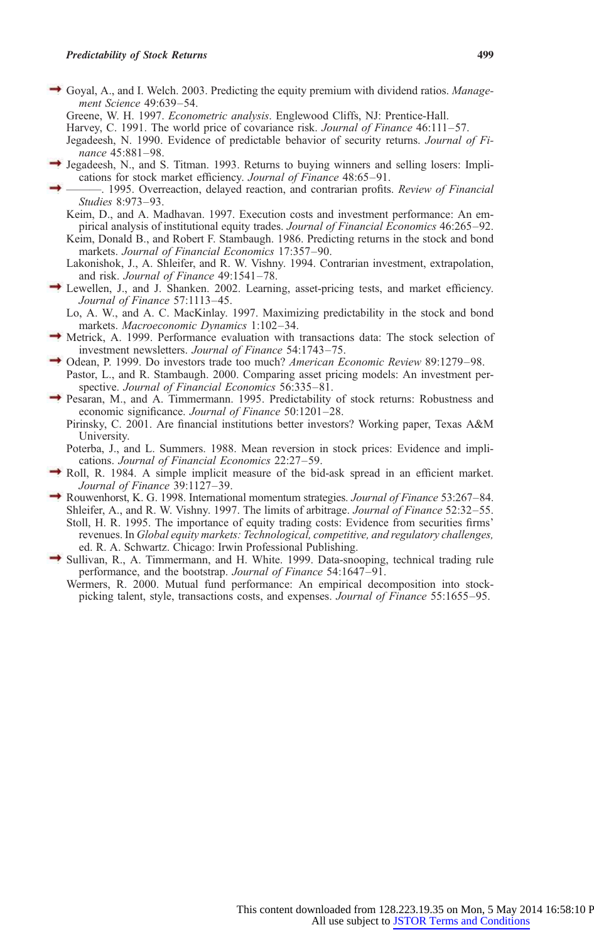Goyal, A., and I. Welch. 2003. Predicting the equity premium with dividend ratios. *Manage*ment Science 49:639–54.

Greene, W. H. 1997. Econometric analysis. Englewood Cliffs, NJ: Prentice-Hall.

- Harvey, C. 1991. The world price of covariance risk. Journal of Finance 46:111-57. Jegadeesh, N. 1990. Evidence of predictable behavior of security returns. Journal of Finance 45:881–98.
- Jegadeesh, N., and S. Titman. 1993. Returns to buying winners and selling losers: Implications for stock market efficiency. Journal of Finance 48:65–91.
- . 1995. Overreaction, delayed reaction, and contrarian profits. Review of Financial Studies 8:973–93.
- Keim, D., and A. Madhavan. 1997. Execution costs and investment performance: An empirical analysis of institutional equity trades. Journal of Financial Economics 46:265-92. Keim, Donald B., and Robert F. Stambaugh. 1986. Predicting returns in the stock and bond
- markets. Journal of Financial Economics 17:357–90. Lakonishok, J., A. Shleifer, and R. W. Vishny. 1994. Contrarian investment, extrapolation, and risk. Journal of Finance 49:1541–78.
- Lewellen, J., and J. Shanken. 2002. Learning, asset-pricing tests, and market efficiency. Journal of Finance 57:1113–45.
	- Lo, A. W., and A. C. MacKinlay. 1997. Maximizing predictability in the stock and bond markets. Macroeconomic Dynamics 1:102–34.
- $\rightarrow$  Metrick, A. 1999. Performance evaluation with transactions data: The stock selection of investment newsletters. Journal of Finance 54:1743–75.
- Odean, P. 1999. Do investors trade too much? American Economic Review 89:1279–98. Pastor, L., and R. Stambaugh. 2000. Comparing asset pricing models: An investment perspective. Journal of Financial Economics 56:335-81.
- Pesaran, M., and A. Timmermann. 1995. Predictability of stock returns: Robustness and economic significance. Journal of Finance 50:1201–28.
- Pirinsky, C. 2001. Are financial institutions better investors? Working paper, Texas A&M University.
- Poterba, J., and L. Summers. 1988. Mean reversion in stock prices: Evidence and implications. Journal of Financial Economics 22:27–59.
- Roll, R. 1984. A simple implicit measure of the bid-ask spread in an efficient market. Journal of Finance 39:1127–39.
- Rouwenhorst, K. G. 1998. International momentum strategies. Journal of Finance 53:267–84. Shleifer, A., and R. W. Vishny. 1997. The limits of arbitrage. Journal of Finance 52:32–55. Stoll, H. R. 1995. The importance of equity trading costs: Evidence from securities firms' revenues. In Global equity markets: Technological, competitive, and regulatory challenges, ed. R. A. Schwartz. Chicago: Irwin Professional Publishing.
- Sullivan, R., A. Timmermann, and H. White. 1999. Data-snooping, technical trading rule performance, and the bootstrap. Journal of Finance 54:1647–91.
	- Wermers, R. 2000. Mutual fund performance: An empirical decomposition into stockpicking talent, style, transactions costs, and expenses. Journal of Finance 55:1655–95.